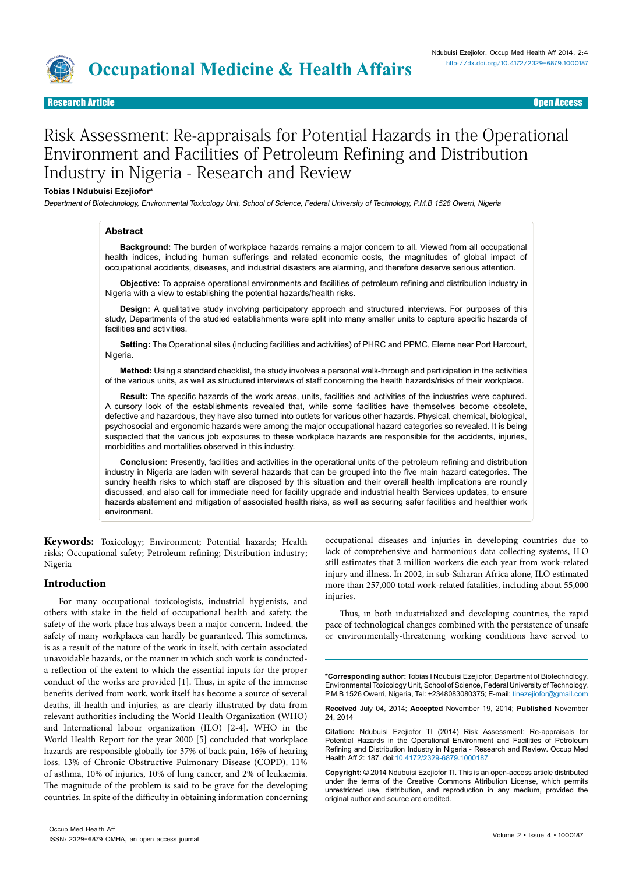

## **Research Article**

# Risk Assessment: Re-appraisals for Potential Hazards in the Operational Environment and Facilities of Petroleum Refining and Distribution Industry in Nigeria - Research and Review

## **Tobias I Ndubuisi Ezejiofor\***

Department of Biotechnology, Environmental Toxicology Unit, School of Science, Federal University of Technology, P.M.B 1526 Owerri, Nigeria

#### **Abstract**

**Background:** The burden of workplace hazards remains a major concern to all. Viewed from all occupational health indices, including human sufferings and related economic costs, the magnitudes of global impact of occupational accidents, diseases, and industrial disasters are alarming, and therefore deserve serious attention.

**Objective:** To appraise operational environments and facilities of petroleum refining and distribution industry in Nigeria with a view to establishing the potential hazards/health risks.

**Design:** A qualitative study involving participatory approach and structured interviews. For purposes of this study, Departments of the studied establishments were split into many smaller units to capture specific hazards of facilities and activities.

**Setting:** The Operational sites (including facilities and activities) of PHRC and PPMC, Eleme near Port Harcourt, Nigeria.

**Method:** Using a standard checklist, the study involves a personal walk-through and participation in the activities of the various units, as well as structured interviews of staff concerning the health hazards/risks of their workplace.

**Result:** The specific hazards of the work areas, units, facilities and activities of the industries were captured. A cursory look of the establishments revealed that, while some facilities have themselves become obsolete, defective and hazardous, they have also turned into outlets for various other hazards. Physical, chemical, biological, psychosocial and ergonomic hazards were among the major occupational hazard categories so revealed. It is being suspected that the various job exposures to these workplace hazards are responsible for the accidents, injuries, morbidities and mortalities observed in this industry.

**Conclusion:** Presently, facilities and activities in the operational units of the petroleum refining and distribution industry in Nigeria are laden with several hazards that can be grouped into the five main hazard categories. The sundry health risks to which staff are disposed by this situation and their overall health implications are roundly discussed, and also call for immediate need for facility upgrade and industrial health Services updates, to ensure hazards abatement and mitigation of associated health risks, as well as securing safer facilities and healthier work environment.

**Keywords:** Toxicology; Environment; Potential hazards; Health risks; Occupational safety; Petroleum refining; Distribution industry; Nigeria

#### **Introduction**

For many occupational toxicologists, industrial hygienists, and others with stake in the field of occupational health and safety, the safety of the work place has always been a major concern. Indeed, the safety of many workplaces can hardly be guaranteed. This sometimes, is as a result of the nature of the work in itself, with certain associated unavoidable hazards, or the manner in which such work is conducteda reflection of the extent to which the essential inputs for the proper conduct of the works are provided [1]. Thus, in spite of the immense benefits derived from work, work itself has become a source of several deaths, ill-health and injuries, as are clearly illustrated by data from relevant authorities including the World Health Organization (WHO) and International labour organization (ILO) [2-4]. WHO in the World Health Report for the year 2000 [5] concluded that workplace hazards are responsible globally for 37% of back pain, 16% of hearing loss, 13% of Chronic Obstructive Pulmonary Disease (COPD), 11% of asthma, 10% of injuries, 10% of lung cancer, and 2% of leukaemia. The magnitude of the problem is said to be grave for the developing countries. In spite of the difficulty in obtaining information concerning

occupational diseases and injuries in developing countries due to lack of comprehensive and harmonious data collecting systems, ILO still estimates that 2 million workers die each year from work-related injury and illness. In 2002, in sub-Saharan Africa alone, ILO estimated more than 257,000 total work-related fatalities, including about 55,000 injuries.

Thus, in both industrialized and developing countries, the rapid pace of technological changes combined with the persistence of unsafe or environmentally-threatening working conditions have served to

**\*Corresponding author:** Tobias I Ndubuisi Ezejiofor, Department of Biotechnology, Environmental Toxicology Unit, School of Science, Federal University of Technology, P.M.B 1526 Owerri, Nigeria, Tel: +2348083080375; E-mail: tinezejiofor@gmail.com

**Received** July 04, 2014; **Accepted** November 19, 2014; **Published** November 24, 2014

**Citation:** Ndubuisi Ezejiofor TI (2014) Risk Assessment: Re-appraisals for Potential Hazards in the Operational Environment and Facilities of Petroleum Refining and Distribution Industry in Nigeria - Research and Review. Occup Med Health Aff 2: 187. doi:[10.4172/2329-6879.1000187](http://dx.doi.org/10.4172/2329-6879.1000187)

**Copyright:** © 2014 Ndubuisi Ezejiofor TI. This is an open-access article distributed under the terms of the Creative Commons Attribution License, which permits unrestricted use, distribution, and reproduction in any medium, provided the original author and source are credited.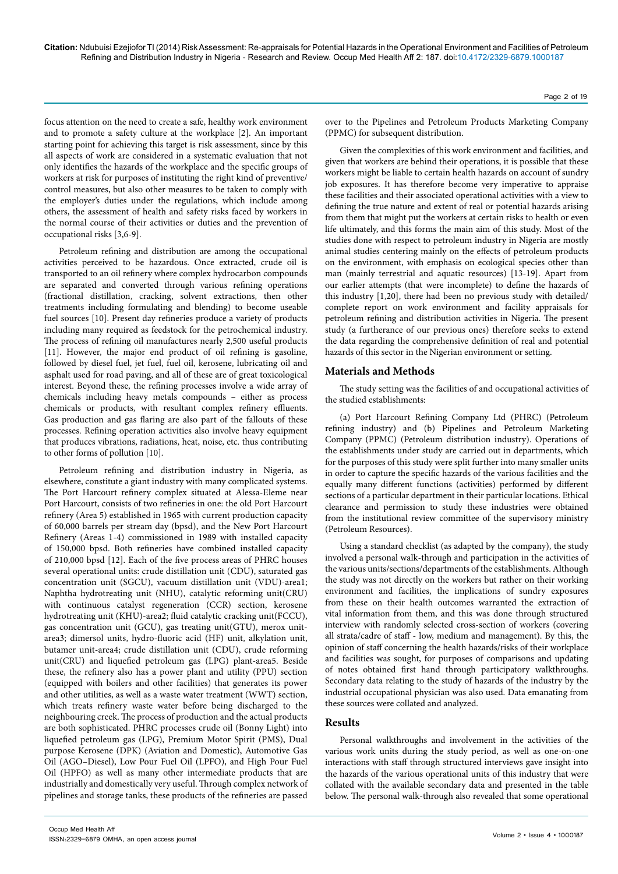focus attention on the need to create a safe, healthy work environment and to promote a safety culture at the workplace [2]. An important starting point for achieving this target is risk assessment, since by this all aspects of work are considered in a systematic evaluation that not only identifies the hazards of the workplace and the specific groups of workers at risk for purposes of instituting the right kind of preventive/ control measures, but also other measures to be taken to comply with the employer's duties under the regulations, which include among others, the assessment of health and safety risks faced by workers in the normal course of their activities or duties and the prevention of occupational risks [3,6-9].

Petroleum refining and distribution are among the occupational activities perceived to be hazardous. Once extracted, crude oil is transported to an oil refinery where complex hydrocarbon compounds are separated and converted through various refining operations (fractional distillation, cracking, solvent extractions, then other treatments including formulating and blending) to become useable fuel sources [10]. Present day refineries produce a variety of products including many required as feedstock for the petrochemical industry. The process of refining oil manufactures nearly 2,500 useful products [11]. However, the major end product of oil refining is gasoline, followed by diesel fuel, jet fuel, fuel oil, kerosene, lubricating oil and asphalt used for road paving, and all of these are of great toxicological interest. Beyond these, the refining processes involve a wide array of chemicals including heavy metals compounds – either as process chemicals or products, with resultant complex refinery effluents. Gas production and gas flaring are also part of the fallouts of these processes. Refining operation activities also involve heavy equipment that produces vibrations, radiations, heat, noise, etc. thus contributing to other forms of pollution [10].

Petroleum refining and distribution industry in Nigeria, as elsewhere, constitute a giant industry with many complicated systems. The Port Harcourt refinery complex situated at Alessa-Eleme near Port Harcourt, consists of two refineries in one: the old Port Harcourt refinery (Area 5) established in 1965 with current production capacity of 60,000 barrels per stream day (bpsd), and the New Port Harcourt Refinery (Areas 1-4) commissioned in 1989 with installed capacity of 150,000 bpsd. Both refineries have combined installed capacity of 210,000 bpsd [12]. Each of the five process areas of PHRC houses several operational units: crude distillation unit (CDU), saturated gas concentration unit (SGCU), vacuum distillation unit (VDU)-area1; Naphtha hydrotreating unit (NHU), catalytic reforming unit(CRU) with continuous catalyst regeneration (CCR) section, kerosene hydrotreating unit (KHU)-area2; fluid catalytic cracking unit(FCCU), gas concentration unit (GCU), gas treating unit(GTU), merox unitarea3; dimersol units, hydro-fluoric acid (HF) unit, alkylation unit, butamer unit-area4; crude distillation unit (CDU), crude reforming unit(CRU) and liquefied petroleum gas (LPG) plant-area5. Beside these, the refinery also has a power plant and utility (PPU) section (equipped with boilers and other facilities) that generates its power and other utilities, as well as a waste water treatment (WWT) section, which treats refinery waste water before being discharged to the neighbouring creek. The process of production and the actual products are both sophisticated. PHRC processes crude oil (Bonny Light) into liquefied petroleum gas (LPG), Premium Motor Spirit (PMS), Dual purpose Kerosene (DPK) (Aviation and Domestic), Automotive Gas Oil (AGO–Diesel), Low Pour Fuel Oil (LPFO), and High Pour Fuel Oil (HPFO) as well as many other intermediate products that are industrially and domestically very useful. Through complex network of pipelines and storage tanks, these products of the refineries are passed

over to the Pipelines and Petroleum Products Marketing Company (PPMC) for subsequent distribution.

Given the complexities of this work environment and facilities, and given that workers are behind their operations, it is possible that these workers might be liable to certain health hazards on account of sundry job exposures. It has therefore become very imperative to appraise these facilities and their associated operational activities with a view to defining the true nature and extent of real or potential hazards arising from them that might put the workers at certain risks to health or even life ultimately, and this forms the main aim of this study. Most of the studies done with respect to petroleum industry in Nigeria are mostly animal studies centering mainly on the effects of petroleum products on the environment, with emphasis on ecological species other than man (mainly terrestrial and aquatic resources) [13-19]. Apart from our earlier attempts (that were incomplete) to define the hazards of this industry [1,20], there had been no previous study with detailed/ complete report on work environment and facility appraisals for petroleum refining and distribution activities in Nigeria. The present study (a furtherance of our previous ones) therefore seeks to extend the data regarding the comprehensive definition of real and potential hazards of this sector in the Nigerian environment or setting.

### **Materials and Methods**

The study setting was the facilities of and occupational activities of the studied establishments:

(a) Port Harcourt Refining Company Ltd (PHRC) (Petroleum refining industry) and (b) Pipelines and Petroleum Marketing Company (PPMC) (Petroleum distribution industry). Operations of the establishments under study are carried out in departments, which for the purposes of this study were split further into many smaller units in order to capture the specific hazards of the various facilities and the equally many different functions (activities) performed by different sections of a particular department in their particular locations. Ethical clearance and permission to study these industries were obtained from the institutional review committee of the supervisory ministry (Petroleum Resources).

Using a standard checklist (as adapted by the company), the study involved a personal walk-through and participation in the activities of the various units/sections/departments of the establishments. Although the study was not directly on the workers but rather on their working environment and facilities, the implications of sundry exposures from these on their health outcomes warranted the extraction of vital information from them, and this was done through structured interview with randomly selected cross-section of workers (covering all strata/cadre of staff - low, medium and management). By this, the opinion of staff concerning the health hazards/risks of their workplace and facilities was sought, for purposes of comparisons and updating of notes obtained first hand through participatory walkthroughs. Secondary data relating to the study of hazards of the industry by the industrial occupational physician was also used. Data emanating from these sources were collated and analyzed.

## **Results**

Personal walkthroughs and involvement in the activities of the various work units during the study period, as well as one-on-one interactions with staff through structured interviews gave insight into the hazards of the various operational units of this industry that were collated with the available secondary data and presented in the table below. The personal walk-through also revealed that some operational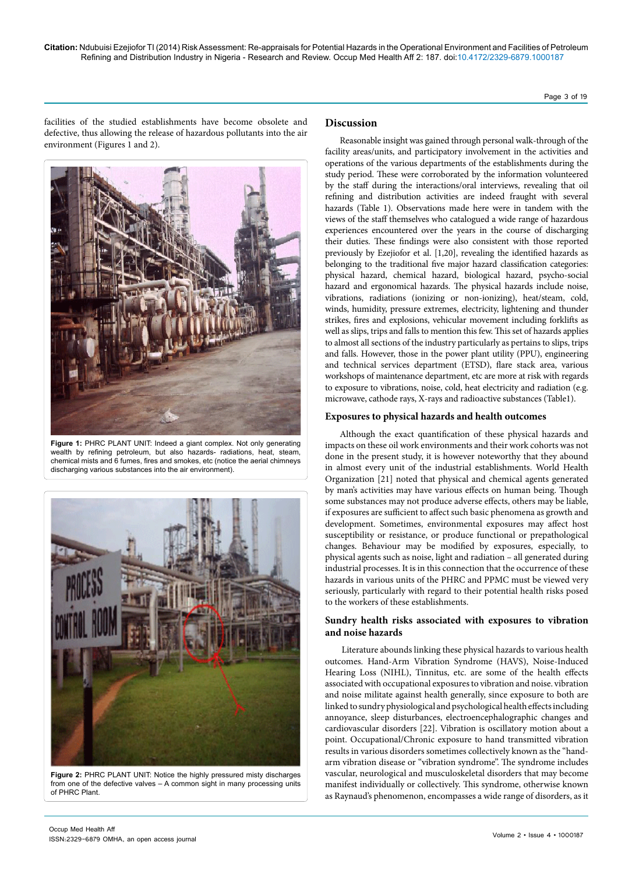facilities of the studied establishments have become obsolete and defective, thus allowing the release of hazardous pollutants into the air environment (Figures 1 and 2).



**Figure 1:** PHRC PLANT UNIT: Indeed a giant complex. Not only generating wealth by refining petroleum, but also hazards- radiations, heat, steam, chemical mists and 6 fumes, fires and smokes, etc (notice the aerial chimneys discharging various substances into the air environment).



**Figure 2:** PHRC PLANT UNIT: Notice the highly pressured misty discharges from one of the defective valves – A common sight in many processing units of PHRC Plant.

## **Discussion**

Reasonable insight was gained through personal walk-through of the facility areas/units, and participatory involvement in the activities and operations of the various departments of the establishments during the study period. These were corroborated by the information volunteered by the staff during the interactions/oral interviews, revealing that oil refining and distribution activities are indeed fraught with several hazards (Table 1). Observations made here were in tandem with the views of the staff themselves who catalogued a wide range of hazardous experiences encountered over the years in the course of discharging their duties. These findings were also consistent with those reported previously by Ezejiofor et al. [1,20], revealing the identified hazards as belonging to the traditional five major hazard classification categories: physical hazard, chemical hazard, biological hazard, psycho-social hazard and ergonomical hazards. The physical hazards include noise, vibrations, radiations (ionizing or non-ionizing), heat/steam, cold, winds, humidity, pressure extremes, electricity, lightening and thunder strikes, fires and explosions, vehicular movement including forklifts as well as slips, trips and falls to mention this few. This set of hazards applies to almost all sections of the industry particularly as pertains to slips, trips and falls. However, those in the power plant utility (PPU), engineering and technical services department (ETSD), flare stack area, various workshops of maintenance department, etc are more at risk with regards to exposure to vibrations, noise, cold, heat electricity and radiation (e.g. microwave, cathode rays, X-rays and radioactive substances (Table1).

#### **Exposures to physical hazards and health outcomes**

Although the exact quantification of these physical hazards and impacts on these oil work environments and their work cohorts was not done in the present study, it is however noteworthy that they abound in almost every unit of the industrial establishments. World Health Organization [21] noted that physical and chemical agents generated by man's activities may have various effects on human being. Though some substances may not produce adverse effects, others may be liable, if exposures are sufficient to affect such basic phenomena as growth and development. Sometimes, environmental exposures may affect host susceptibility or resistance, or produce functional or prepathological changes. Behaviour may be modified by exposures, especially, to physical agents such as noise, light and radiation – all generated during industrial processes. It is in this connection that the occurrence of these hazards in various units of the PHRC and PPMC must be viewed very seriously, particularly with regard to their potential health risks posed to the workers of these establishments.

## **Sundry health risks associated with exposures to vibration and noise hazards**

 Literature abounds linking these physical hazards to various health outcomes. Hand-Arm Vibration Syndrome (HAVS), Noise-Induced Hearing Loss (NIHL), Tinnitus, etc. are some of the health effects associated with occupational exposures to vibration and noise. vibration and noise militate against health generally, since exposure to both are linked to sundry physiological and psychological health effects including annoyance, sleep disturbances, electroencephalographic changes and cardiovascular disorders [22]. Vibration is oscillatory motion about a point. Occupational/Chronic exposure to hand transmitted vibration results in various disorders sometimes collectively known as the "handarm vibration disease or "vibration syndrome". The syndrome includes vascular, neurological and musculoskeletal disorders that may become manifest individually or collectively. This syndrome, otherwise known as Raynaud's phenomenon, encompasses a wide range of disorders, as it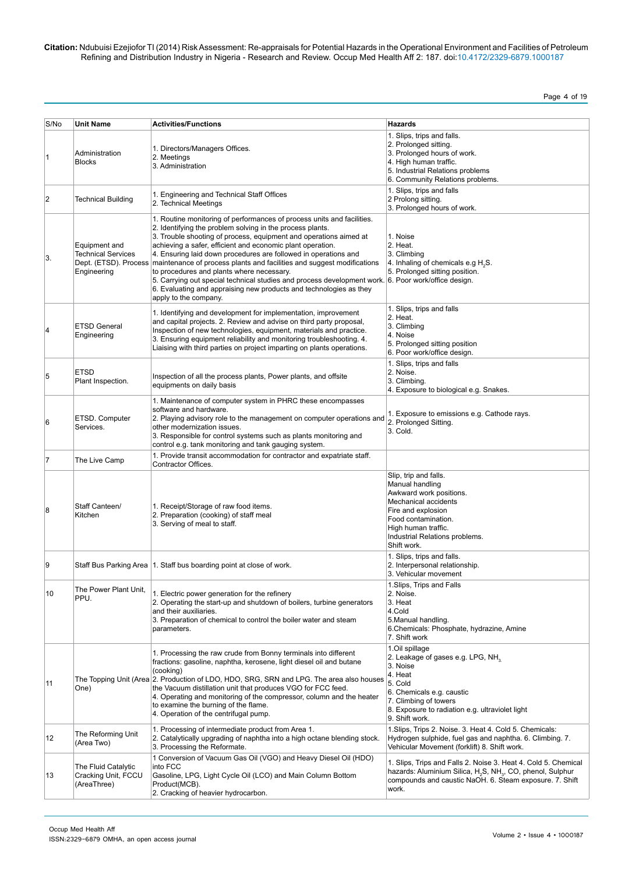Page 4 of 19

| S/No         | <b>Unit Name</b>                                          | <b>Activities/Functions</b>                                                                                                                                                                                                                                                                                                                                                                                                                                                                                                                                                                                                                                                                  | Hazards                                                                                                                                                                                                                      |
|--------------|-----------------------------------------------------------|----------------------------------------------------------------------------------------------------------------------------------------------------------------------------------------------------------------------------------------------------------------------------------------------------------------------------------------------------------------------------------------------------------------------------------------------------------------------------------------------------------------------------------------------------------------------------------------------------------------------------------------------------------------------------------------------|------------------------------------------------------------------------------------------------------------------------------------------------------------------------------------------------------------------------------|
| $\mathbf{1}$ | Administration<br><b>Blocks</b>                           | 1. Directors/Managers Offices.<br>2. Meetings<br>3. Administration                                                                                                                                                                                                                                                                                                                                                                                                                                                                                                                                                                                                                           | 1. Slips, trips and falls.<br>2. Prolonged sitting.<br>3. Prolonged hours of work.<br>4. High human traffic.<br>5. Industrial Relations problems<br>6. Community Relations problems.                                         |
| 2            | <b>Technical Building</b>                                 | 1. Engineering and Technical Staff Offices<br>2. Technical Meetings                                                                                                                                                                                                                                                                                                                                                                                                                                                                                                                                                                                                                          | 1. Slips, trips and falls<br>2 Prolong sitting.<br>3. Prolonged hours of work.                                                                                                                                               |
| 3.           | Equipment and<br>Technical Services<br>Engineering        | 1. Routine monitoring of performances of process units and facilities.<br>2. Identifying the problem solving in the process plants.<br>3. Trouble shooting of process, equipment and operations aimed at<br>achieving a safer, efficient and economic plant operation.<br>4. Ensuring laid down procedures are followed in operations and<br>Dept. (ETSD). Process maintenance of process plants and facilities and suggest modifications<br>to procedures and plants where necessary.<br>5. Carrying out special technical studies and process development work. 6. Poor work/office design.<br>6. Evaluating and appraising new products and technologies as they<br>apply to the company. | 1. Noise<br>2. Heat.<br>3. Climbing<br>4. Inhaling of chemicals e.g H <sub>2</sub> S.<br>5. Prolonged sitting position.                                                                                                      |
| 4            | <b>ETSD General</b><br>Engineering                        | 1. Identifying and development for implementation, improvement<br>and capital projects. 2. Review and advise on third party proposal,<br>Inspection of new technologies, equipment, materials and practice.<br>3. Ensuring equipment reliability and monitoring troubleshooting. 4.<br>Liaising with third parties on project imparting on plants operations.                                                                                                                                                                                                                                                                                                                                | 1. Slips, trips and falls<br>2. Heat.<br>3. Climbing<br>4. Noise<br>5. Prolonged sitting position<br>6. Poor work/office design.                                                                                             |
| 5            | ETSD<br>Plant Inspection.                                 | Inspection of all the process plants, Power plants, and offsite<br>equipments on daily basis                                                                                                                                                                                                                                                                                                                                                                                                                                                                                                                                                                                                 | 1. Slips, trips and falls<br>2. Noise.<br>3. Climbing.<br>4. Exposure to biological e.g. Snakes.                                                                                                                             |
| 6            | ETSD. Computer<br>Services.                               | 1. Maintenance of computer system in PHRC these encompasses<br>software and hardware.<br>2. Playing advisory role to the management on computer operations and<br>other modernization issues.<br>3. Responsible for control systems such as plants monitoring and<br>control e.g. tank monitoring and tank gauging system.                                                                                                                                                                                                                                                                                                                                                                   | 1. Exposure to emissions e.g. Cathode rays.<br>2. Prolonged Sitting.<br>3. Cold.                                                                                                                                             |
| 7            | The Live Camp                                             | 1. Provide transit accommodation for contractor and expatriate staff.<br>Contractor Offices.                                                                                                                                                                                                                                                                                                                                                                                                                                                                                                                                                                                                 |                                                                                                                                                                                                                              |
| 8            | Staff Canteen/<br>Kitchen                                 | 1. Receipt/Storage of raw food items.<br>2. Preparation (cooking) of staff meal<br>3. Serving of meal to staff.                                                                                                                                                                                                                                                                                                                                                                                                                                                                                                                                                                              | Slip, trip and falls.<br>Manual handling<br>Awkward work positions.<br>Mechanical accidents<br>Fire and explosion<br>Food contamination.<br>High human traffic.<br>Industrial Relations problems.<br>Shift work.             |
| Ι9           |                                                           | Staff Bus Parking Area   1. Staff bus boarding point at close of work.                                                                                                                                                                                                                                                                                                                                                                                                                                                                                                                                                                                                                       | 1. Slips, trips and falls.<br>2. Interpersonal relationship.<br>3. Vehicular movement                                                                                                                                        |
| 10           | The Power Plant Unit,<br>PPU.                             | 1. Electric power generation for the refinery<br>2. Operating the start-up and shutdown of boilers, turbine generators<br>and their auxiliaries.<br>3. Preparation of chemical to control the boiler water and steam<br>parameters.                                                                                                                                                                                                                                                                                                                                                                                                                                                          | 1. Slips, Trips and Falls<br>2. Noise.<br>3. Heat<br>4.Cold<br>5. Manual handling.<br>6. Chemicals: Phosphate, hydrazine, Amine<br>7. Shift work                                                                             |
| 11           | One)                                                      | 1. Processing the raw crude from Bonny terminals into different<br>fractions: gasoline, naphtha, kerosene, light diesel oil and butane<br>(cooking)<br>The Topping Unit (Area 2. Production of LDO, HDO, SRG, SRN and LPG. The area also houses<br>the Vacuum distillation unit that produces VGO for FCC feed.<br>4. Operating and monitoring of the compressor, column and the heater<br>to examine the burning of the flame.<br>4. Operation of the centrifugal pump.                                                                                                                                                                                                                     | 1.Oil spillage<br>2. Leakage of gases e.g. LPG, NH <sub>3</sub><br>3. Noise<br>4. Heat<br>5. Cold<br>6. Chemicals e.g. caustic<br>7. Climbing of towers<br>8. Exposure to radiation e.g. ultraviolet light<br>9. Shift work. |
| 12           | The Reforming Unit<br>(Area Two)                          | 1. Processing of intermediate product from Area 1.<br>2. Catalytically upgrading of naphtha into a high octane blending stock.<br>3. Processing the Reformate.                                                                                                                                                                                                                                                                                                                                                                                                                                                                                                                               | 1. Slips, Trips 2. Noise. 3. Heat 4. Cold 5. Chemicals:<br>Hydrogen sulphide, fuel gas and naphtha. 6. Climbing. 7.<br>Vehicular Movement (forklift) 8. Shift work.                                                          |
| 13           | The Fluid Catalytic<br>Cracking Unit, FCCU<br>(AreaThree) | 1 Conversion of Vacuum Gas Oil (VGO) and Heavy Diesel Oil (HDO)<br>into FCC<br>Gasoline, LPG, Light Cycle Oil (LCO) and Main Column Bottom<br>Product(MCB).<br>2. Cracking of heavier hydrocarbon.                                                                                                                                                                                                                                                                                                                                                                                                                                                                                           | 1. Slips, Trips and Falls 2. Noise 3. Heat 4. Cold 5. Chemical<br>hazards: Aluminium Silica, H <sub>2</sub> S, NH <sub>3</sub> , CO, phenol, Sulphur<br>compounds and caustic NaOH. 6. Steam exposure. 7. Shift<br>work.     |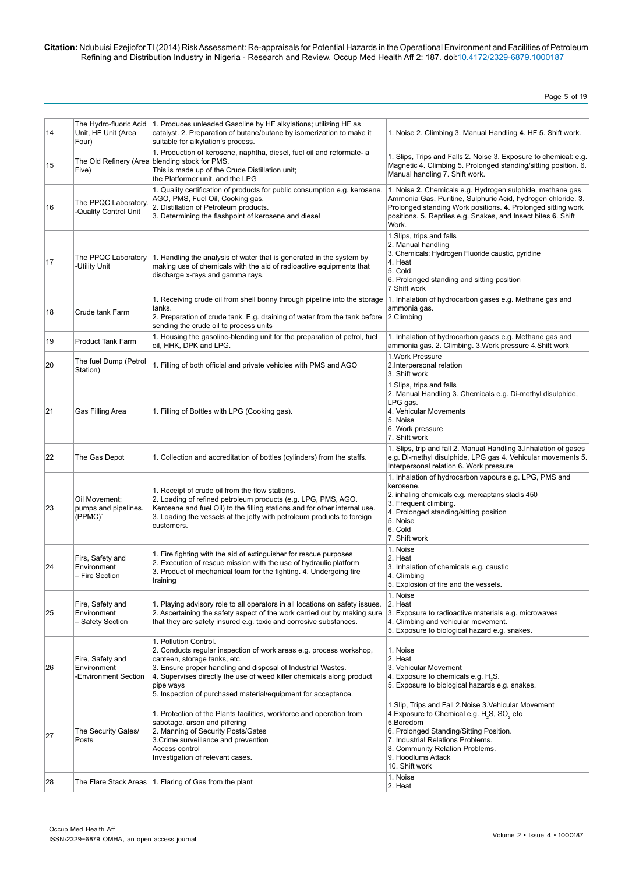Page 5 of 19

| 14 | Unit, HF Unit (Area<br>Four)                                  | The Hydro-fluoric Acid   1. Produces unleaded Gasoline by HF alkylations; utilizing HF as<br>catalyst. 2. Preparation of butane/butane by isomerization to make it<br>suitable for alkylation's process.                                                                                                                                            | 1. Noise 2. Climbing 3. Manual Handling 4. HF 5. Shift work.                                                                                                                                                                                                                                         |
|----|---------------------------------------------------------------|-----------------------------------------------------------------------------------------------------------------------------------------------------------------------------------------------------------------------------------------------------------------------------------------------------------------------------------------------------|------------------------------------------------------------------------------------------------------------------------------------------------------------------------------------------------------------------------------------------------------------------------------------------------------|
| 15 | Five)                                                         | 1. Production of kerosene, naphtha, diesel, fuel oil and reformate- a<br>The Old Refinery (Area blending stock for PMS.<br>This is made up of the Crude Distillation unit;<br>the Platformer unit, and the LPG                                                                                                                                      | 1. Slips, Trips and Falls 2. Noise 3. Exposure to chemical: e.g.<br>Magnetic 4. Climbing 5. Prolonged standing/sitting position. 6.<br>Manual handling 7. Shift work.                                                                                                                                |
| 16 | The PPQC Laboratory.<br>Quality Control Unit                  | 1. Quality certification of products for public consumption e.g. kerosene,<br>AGO, PMS, Fuel Oil, Cooking gas.<br>2. Distillation of Petroleum products.<br>3. Determining the flashpoint of kerosene and diesel                                                                                                                                    | 1. Noise 2. Chemicals e.g. Hydrogen sulphide, methane gas,<br>Ammonia Gas, Puritine, Sulphuric Acid, hydrogen chloride. 3.<br>Prolonged standing Work positions. 4. Prolonged sitting work<br>positions. 5. Reptiles e.g. Snakes, and Insect bites 6. Shift<br>Work.                                 |
| 17 | The PPQC Laboratory<br>-Utility Unit                          | 1. Handling the analysis of water that is generated in the system by<br>making use of chemicals with the aid of radioactive equipments that<br>discharge x-rays and gamma rays.                                                                                                                                                                     | 1. Slips, trips and falls<br>2. Manual handling<br>3. Chemicals: Hydrogen Fluoride caustic, pyridine<br>4. Heat<br>5. Cold<br>6. Prolonged standing and sitting position<br>7 Shift work                                                                                                             |
| 18 | Crude tank Farm                                               | 1. Receiving crude oil from shell bonny through pipeline into the storage<br>tanks.<br>2. Preparation of crude tank. E.g. draining of water from the tank before<br>sending the crude oil to process units                                                                                                                                          | 1. Inhalation of hydrocarbon gases e.g. Methane gas and<br>ammonia gas.<br>2.Climbing                                                                                                                                                                                                                |
| 19 | Product Tank Farm                                             | 1. Housing the gasoline-blending unit for the preparation of petrol, fuel<br>oil, HHK, DPK and LPG.                                                                                                                                                                                                                                                 | 1. Inhalation of hydrocarbon gases e.g. Methane gas and<br>ammonia gas. 2. Climbing. 3. Work pressure 4. Shift work                                                                                                                                                                                  |
| 20 | The fuel Dump (Petrol<br>Station)                             | 1. Filling of both official and private vehicles with PMS and AGO                                                                                                                                                                                                                                                                                   | 1. Work Pressure<br>2. Interpersonal relation<br>3. Shift work                                                                                                                                                                                                                                       |
| 21 | Gas Filling Area                                              | 1. Filling of Bottles with LPG (Cooking gas).                                                                                                                                                                                                                                                                                                       | 1. Slips, trips and falls<br>2. Manual Handling 3. Chemicals e.g. Di-methyl disulphide,<br>LPG gas.<br>4. Vehicular Movements<br>5. Noise<br>6. Work pressure<br>7. Shift work                                                                                                                       |
| 22 | The Gas Depot                                                 | 1. Collection and accreditation of bottles (cylinders) from the staffs.                                                                                                                                                                                                                                                                             | 1. Slips, trip and fall 2. Manual Handling 3. Inhalation of gases<br>e.g. Di-methyl disulphide, LPG gas 4. Vehicular movements 5.<br>Interpersonal relation 6. Work pressure                                                                                                                         |
| 23 | Oil Movement:<br>pumps and pipelines.<br>(PPMC) <sup>*</sup>  | 1. Receipt of crude oil from the flow stations.<br>2. Loading of refined petroleum products (e.g. LPG, PMS, AGO.<br>Kerosene and fuel Oil) to the filling stations and for other internal use.<br>3. Loading the vessels at the jetty with petroleum products to foreign<br>customers.                                                              | 1. Inhalation of hydrocarbon vapours e.g. LPG, PMS and<br>kerosene.<br>2. inhaling chemicals e.g. mercaptans stadis 450<br>3. Frequent climbing.<br>4. Prolonged standing/sitting position<br>5. Noise<br>6. Cold<br>7. Shift work                                                                   |
| 24 | Firs, Safety and<br>Environment<br>Fire Section               | 1. Fire fighting with the aid of extinguisher for rescue purposes<br>2. Execution of rescue mission with the use of hydraulic platform<br>3. Product of mechanical foam for the fighting. 4. Undergoing fire<br>training                                                                                                                            | 1. Noise<br>2. Heat<br>3. Inhalation of chemicals e.g. caustic<br>4. Climbing<br>5. Explosion of fire and the vessels.                                                                                                                                                                               |
| 25 | Fire, Safety and<br>Environment<br>- Safety Section           | 1. Playing advisory role to all operators in all locations on safety issues.<br>2. Ascertaining the safety aspect of the work carried out by making sure<br>that they are safety insured e.g. toxic and corrosive substances.                                                                                                                       | 1. Noise<br>2. Heat<br>3. Exposure to radioactive materials e.g. microwaves<br>4. Climbing and vehicular movement.<br>5. Exposure to biological hazard e.g. snakes.                                                                                                                                  |
| 26 | Fire, Safety and<br>Environment<br><b>Environment Section</b> | 1. Pollution Control.<br>2. Conducts regular inspection of work areas e.g. process workshop,<br>canteen, storage tanks, etc.<br>3. Ensure proper handling and disposal of Industrial Wastes.<br>4. Supervises directly the use of weed killer chemicals along product<br>pipe ways<br>5. Inspection of purchased material/equipment for acceptance. | 1. Noise<br>2. Heat<br>3. Vehicular Movement<br>4. Exposure to chemicals e.g. H <sub>2</sub> S.<br>5. Exposure to biological hazards e.g. snakes.                                                                                                                                                    |
| 27 | The Security Gates/<br>Posts                                  | 1. Protection of the Plants facilities, workforce and operation from<br>sabotage, arson and pilfering<br>2. Manning of Security Posts/Gates<br>3. Crime surveillance and prevention<br>Access control<br>Investigation of relevant cases.                                                                                                           | 1. Slip, Trips and Fall 2. Noise 3. Vehicular Movement<br>4. Exposure to Chemical e.g. H <sub>2</sub> S, SO <sub>2</sub> etc<br>5.Boredom<br>6. Prolonged Standing/Sitting Position.<br>7. Industrial Relations Problems.<br>8. Community Relation Problems.<br>9. Hoodlums Attack<br>10. Shift work |
| 28 |                                                               | The Flare Stack Areas   1. Flaring of Gas from the plant                                                                                                                                                                                                                                                                                            | 1. Noise<br>2. Heat                                                                                                                                                                                                                                                                                  |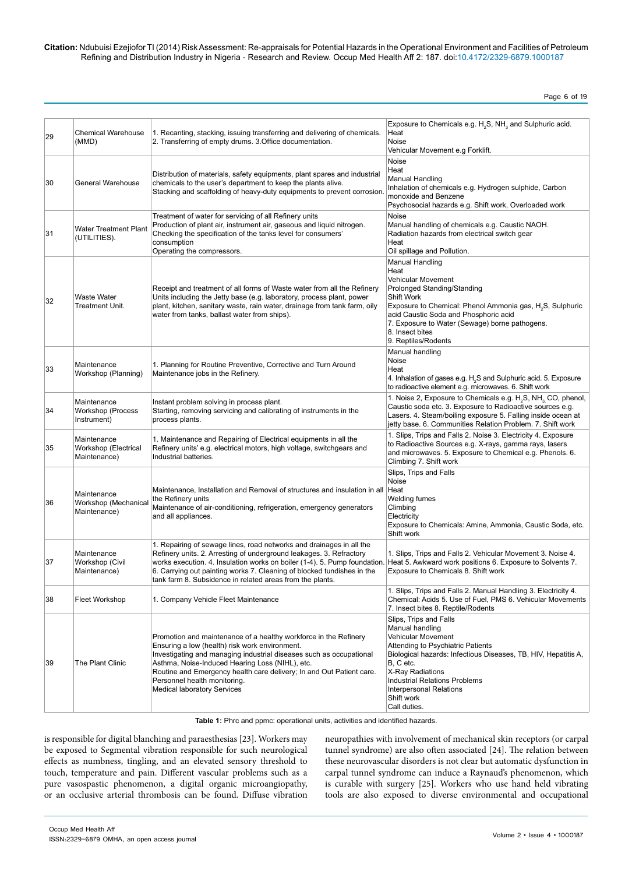Page 6 of 19

| 29 | Chemical Warehouse<br>(MMD)                            | 1. Recanting, stacking, issuing transferring and delivering of chemicals.<br>2. Transferring of empty drums. 3. Office documentation.                                                                                                                                                                                                                                                                                     | Exposure to Chemicals e.g. $H_{2}S$ , NH <sub>3</sub> and Sulphuric acid.<br>Heat<br>Noise<br>Vehicular Movement e.g Forklift.                                                                                                                                                                                  |
|----|--------------------------------------------------------|---------------------------------------------------------------------------------------------------------------------------------------------------------------------------------------------------------------------------------------------------------------------------------------------------------------------------------------------------------------------------------------------------------------------------|-----------------------------------------------------------------------------------------------------------------------------------------------------------------------------------------------------------------------------------------------------------------------------------------------------------------|
| 30 | General Warehouse                                      | Distribution of materials, safety equipments, plant spares and industrial<br>chemicals to the user's department to keep the plants alive.<br>Stacking and scaffolding of heavy-duty equipments to prevent corrosion.                                                                                                                                                                                                      | Noise<br>Heat<br><b>Manual Handling</b><br>Inhalation of chemicals e.g. Hydrogen sulphide, Carbon<br>monoxide and Benzene<br>Psychosocial hazards e.g. Shift work, Overloaded work                                                                                                                              |
| 31 | <b>Water Treatment Plant</b><br>(UTILITIES).           | Treatment of water for servicing of all Refinery units<br>Production of plant air, instrument air, gaseous and liquid nitrogen.<br>Checking the specification of the tanks level for consumers'<br>consumption<br>Operating the compressors.                                                                                                                                                                              | Noise<br>Manual handling of chemicals e.g. Caustic NAOH.<br>Radiation hazards from electrical switch gear<br>Heat<br>Oil spillage and Pollution.                                                                                                                                                                |
| 32 | Waste Water<br>Treatment Unit.                         | Receipt and treatment of all forms of Waste water from all the Refinery<br>Units including the Jetty base (e.g. laboratory, process plant, power<br>plant, kitchen, sanitary waste, rain water, drainage from tank farm, oily<br>water from tanks, ballast water from ships).                                                                                                                                             | <b>Manual Handling</b><br>Heat<br>Vehicular Movement<br>Prolonged Standing/Standing<br>Shift Work<br>Exposure to Chemical: Phenol Ammonia gas, H <sub>2</sub> S, Sulphuric<br>acid Caustic Soda and Phosphoric acid<br>7. Exposure to Water (Sewage) borne pathogens.<br>8. Insect bites<br>9. Reptiles/Rodents |
| 33 | Maintenance<br>Workshop (Planning)                     | 1. Planning for Routine Preventive, Corrective and Turn Around<br>Maintenance jobs in the Refinery.                                                                                                                                                                                                                                                                                                                       | Manual handling<br>Noise<br>Heat<br>4. Inhalation of gases e.g. H <sub>2</sub> S and Sulphuric acid. 5. Exposure<br>to radioactive element e.g. microwaves. 6. Shift work                                                                                                                                       |
| 34 | Maintenance<br><b>Workshop (Process</b><br>Instrument) | Instant problem solving in process plant.<br>Starting, removing servicing and calibrating of instruments in the<br>process plants.                                                                                                                                                                                                                                                                                        | 1. Noise 2, Exposure to Chemicals e.g. H <sub>2</sub> S, NH <sub>3</sub> CO, phenol,<br>Caustic soda etc. 3. Exposure to Radioactive sources e.g.<br>Lasers. 4. Steam/boiling exposure 5. Falling inside ocean at<br>jetty base. 6. Communities Relation Problem. 7. Shift work                                 |
| 35 | Maintenance<br>Workshop (Electrical<br>Maintenance)    | 1. Maintenance and Repairing of Electrical equipments in all the<br>Refinery units' e.g. electrical motors, high voltage, switchgears and<br>Industrial batteries.                                                                                                                                                                                                                                                        | 1. Slips, Trips and Falls 2. Noise 3. Electricity 4. Exposure<br>to Radioactive Sources e.g. X-rays, gamma rays, lasers<br>and microwaves. 5. Exposure to Chemical e.g. Phenols. 6.<br>Climbing 7. Shift work                                                                                                   |
| 36 | Maintenance<br>Workshop (Mechanica<br>Maintenance)     | Maintenance, Installation and Removal of structures and insulation in all<br>the Refinery units<br>Maintenance of air-conditioning, refrigeration, emergency generators<br>and all appliances.                                                                                                                                                                                                                            | Slips, Trips and Falls<br>Noise<br>Heat<br>Welding fumes<br>Climbing<br>Electricity<br>Exposure to Chemicals: Amine, Ammonia, Caustic Soda, etc.<br>Shift work                                                                                                                                                  |
| 37 | Maintenance<br>Workshop (Civil<br>Maintenance)         | 1. Repairing of sewage lines, road networks and drainages in all the<br>Refinery units. 2. Arresting of underground leakages. 3. Refractory<br>works execution. 4. Insulation works on boiler (1-4). 5. Pump foundation. Heat 5. Awkward work positions 6. Exposure to Solvents 7.<br>6. Carrying out painting works 7. Cleaning of blocked tundishes in the<br>tank farm 8. Subsidence in related areas from the plants. | 1. Slips, Trips and Falls 2. Vehicular Movement 3. Noise 4.<br>Exposure to Chemicals 8. Shift work                                                                                                                                                                                                              |
| 38 | Fleet Workshop                                         | 1. Company Vehicle Fleet Maintenance                                                                                                                                                                                                                                                                                                                                                                                      | 1. Slips, Trips and Falls 2. Manual Handling 3. Electricity 4.<br>Chemical: Acids 5. Use of Fuel, PMS 6. Vehicular Movements<br>7. Insect bites 8. Reptile/Rodents                                                                                                                                              |
| 39 | The Plant Clinic                                       | Promotion and maintenance of a healthy workforce in the Refinery<br>Ensuring a low (health) risk work environment.<br>Investigating and managing industrial diseases such as occupational<br>Asthma, Noise-Induced Hearing Loss (NIHL), etc.<br>Routine and Emergency health care delivery; In and Out Patient care.<br>Personnel health monitoring.<br><b>Medical laboratory Services</b>                                | Slips, Trips and Falls<br>Manual handling<br>Vehicular Movement<br>Attending to Psychiatric Patients<br>Biological hazards: Infectious Diseases, TB, HIV, Hepatitis A,<br>B, C etc.<br>X-Ray Radiations<br><b>Industrial Relations Problems</b><br><b>Interpersonal Relations</b><br>Shift work<br>Call duties. |

**Table 1:** Phrc and ppmc: operational units, activities and identified hazards.

is responsible for digital blanching and paraesthesias [23]. Workers may be exposed to Segmental vibration responsible for such neurological effects as numbness, tingling, and an elevated sensory threshold to touch, temperature and pain. Different vascular problems such as a pure vasospastic phenomenon, a digital organic microangiopathy, or an occlusive arterial thrombosis can be found. Diffuse vibration

neuropathies with involvement of mechanical skin receptors (or carpal tunnel syndrome) are also often associated [24]. The relation between these neurovascular disorders is not clear but automatic dysfunction in carpal tunnel syndrome can induce a Raynaud's phenomenon, which is curable with surgery [25]. Workers who use hand held vibrating tools are also exposed to diverse environmental and occupational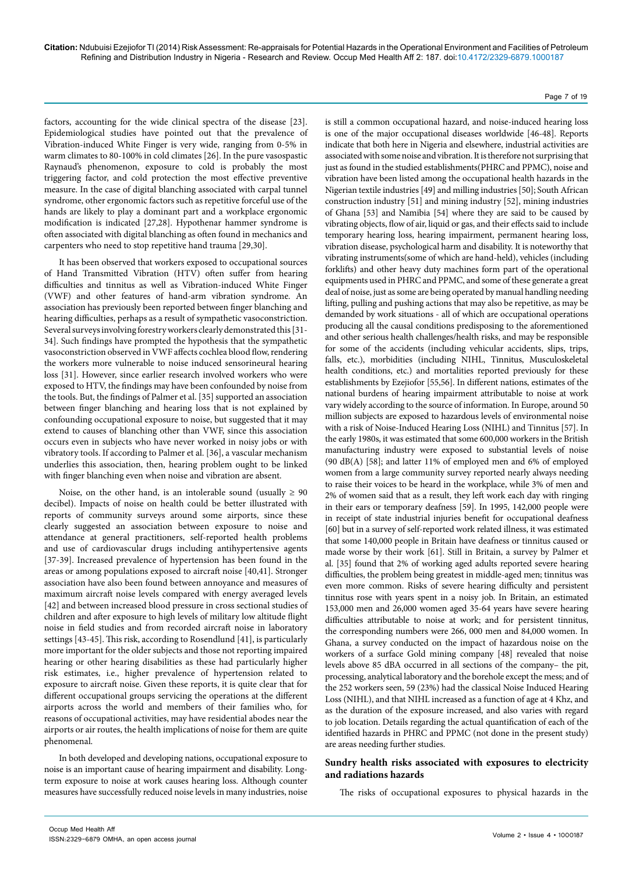factors, accounting for the wide clinical spectra of the disease [23]. Epidemiological studies have pointed out that the prevalence of Vibration-induced White Finger is very wide, ranging from 0-5% in warm climates to 80-100% in cold climates [26]. In the pure vasospastic Raynaud's phenomenon, exposure to cold is probably the most triggering factor, and cold protection the most effective preventive measure. In the case of digital blanching associated with carpal tunnel syndrome, other ergonomic factors such as repetitive forceful use of the hands are likely to play a dominant part and a workplace ergonomic modification is indicated [27,28]. Hypothenar hammer syndrome is often associated with digital blanching as often found in mechanics and carpenters who need to stop repetitive hand trauma [29,30].

It has been observed that workers exposed to occupational sources of Hand Transmitted Vibration (HTV) often suffer from hearing difficulties and tinnitus as well as Vibration-induced White Finger (VWF) and other features of hand-arm vibration syndrome. An association has previously been reported between finger blanching and hearing difficulties, perhaps as a result of sympathetic vasoconstriction. Several surveys involving forestry workers clearly demonstrated this [31- 34]. Such findings have prompted the hypothesis that the sympathetic vasoconstriction observed in VWF affects cochlea blood flow, rendering the workers more vulnerable to noise induced sensorineural hearing loss [31]. However, since earlier research involved workers who were exposed to HTV, the findings may have been confounded by noise from the tools. But, the findings of Palmer et al. [35] supported an association between finger blanching and hearing loss that is not explained by confounding occupational exposure to noise, but suggested that it may extend to causes of blanching other than VWF, since this association occurs even in subjects who have never worked in noisy jobs or with vibratory tools. If according to Palmer et al. [36], a vascular mechanism underlies this association, then, hearing problem ought to be linked with finger blanching even when noise and vibration are absent.

Noise, on the other hand, is an intolerable sound (usually  $\geq 90$ decibel). Impacts of noise on health could be better illustrated with reports of community surveys around some airports, since these clearly suggested an association between exposure to noise and attendance at general practitioners, self-reported health problems and use of cardiovascular drugs including antihypertensive agents [37-39]. Increased prevalence of hypertension has been found in the areas or among populations exposed to aircraft noise [40,41]. Stronger association have also been found between annoyance and measures of maximum aircraft noise levels compared with energy averaged levels [42] and between increased blood pressure in cross sectional studies of children and after exposure to high levels of military low altitude flight noise in field studies and from recorded aircraft noise in laboratory settings [43-45]. This risk, according to Rosendlund [41], is particularly more important for the older subjects and those not reporting impaired hearing or other hearing disabilities as these had particularly higher risk estimates, i.e., higher prevalence of hypertension related to exposure to aircraft noise. Given these reports, it is quite clear that for different occupational groups servicing the operations at the different airports across the world and members of their families who, for reasons of occupational activities, may have residential abodes near the airports or air routes, the health implications of noise for them are quite phenomenal.

In both developed and developing nations, occupational exposure to noise is an important cause of hearing impairment and disability. Longterm exposure to noise at work causes hearing loss. Although counter measures have successfully reduced noise levels in many industries, noise

is still a common occupational hazard, and noise-induced hearing loss is one of the major occupational diseases worldwide [46-48]. Reports indicate that both here in Nigeria and elsewhere, industrial activities are associated with some noise and vibration. It is therefore not surprising that just as found in the studied establishments(PHRC and PPMC), noise and vibration have been listed among the occupational health hazards in the Nigerian textile industries [49] and milling industries [50]; South African construction industry [51] and mining industry [52], mining industries of Ghana [53] and Namibia [54] where they are said to be caused by vibrating objects, flow of air, liquid or gas, and their effects said to include temporary hearing loss, hearing impairment, permanent hearing loss, vibration disease, psychological harm and disability. It is noteworthy that vibrating instruments(some of which are hand-held), vehicles (including forklifts) and other heavy duty machines form part of the operational equipments used in PHRC and PPMC, and some of these generate a great deal of noise, just as some are being operated by manual handling needing lifting, pulling and pushing actions that may also be repetitive, as may be demanded by work situations - all of which are occupational operations producing all the causal conditions predisposing to the aforementioned and other serious health challenges/health risks, and may be responsible for some of the accidents (including vehicular accidents, slips, trips, falls, etc.), morbidities (including NIHL, Tinnitus, Musculoskeletal health conditions, etc.) and mortalities reported previously for these establishments by Ezejiofor [55,56]. In different nations, estimates of the national burdens of hearing impairment attributable to noise at work vary widely according to the source of information. In Europe, around 50 million subjects are exposed to hazardous levels of environmental noise with a risk of Noise-Induced Hearing Loss (NIHL) and Tinnitus [57]. In the early 1980s, it was estimated that some 600,000 workers in the British manufacturing industry were exposed to substantial levels of noise (90 dB(A) [58]; and latter 11% of employed men and 6% of employed women from a large community survey reported nearly always needing to raise their voices to be heard in the workplace, while 3% of men and 2% of women said that as a result, they left work each day with ringing in their ears or temporary deafness [59]. In 1995, 142,000 people were in receipt of state industrial injuries benefit for occupational deafness [60] but in a survey of self-reported work related illness, it was estimated that some 140,000 people in Britain have deafness or tinnitus caused or made worse by their work [61]. Still in Britain, a survey by Palmer et al. [35] found that 2% of working aged adults reported severe hearing difficulties, the problem being greatest in middle-aged men; tinnitus was even more common. Risks of severe hearing difficulty and persistent tinnitus rose with years spent in a noisy job. In Britain, an estimated 153,000 men and 26,000 women aged 35-64 years have severe hearing difficulties attributable to noise at work; and for persistent tinnitus, the corresponding numbers were 266, 000 men and 84,000 women. In Ghana, a survey conducted on the impact of hazardous noise on the workers of a surface Gold mining company [48] revealed that noise levels above 85 dBA occurred in all sections of the company– the pit, processing, analytical laboratory and the borehole except the mess; and of the 252 workers seen, 59 (23%) had the classical Noise Induced Hearing Loss (NIHL), and that NIHL increased as a function of age at 4 Khz, and as the duration of the exposure increased, and also varies with regard to job location. Details regarding the actual quantification of each of the identified hazards in PHRC and PPMC (not done in the present study) are areas needing further studies.

### **Sundry health risks associated with exposures to electricity and radiations hazards**

The risks of occupational exposures to physical hazards in the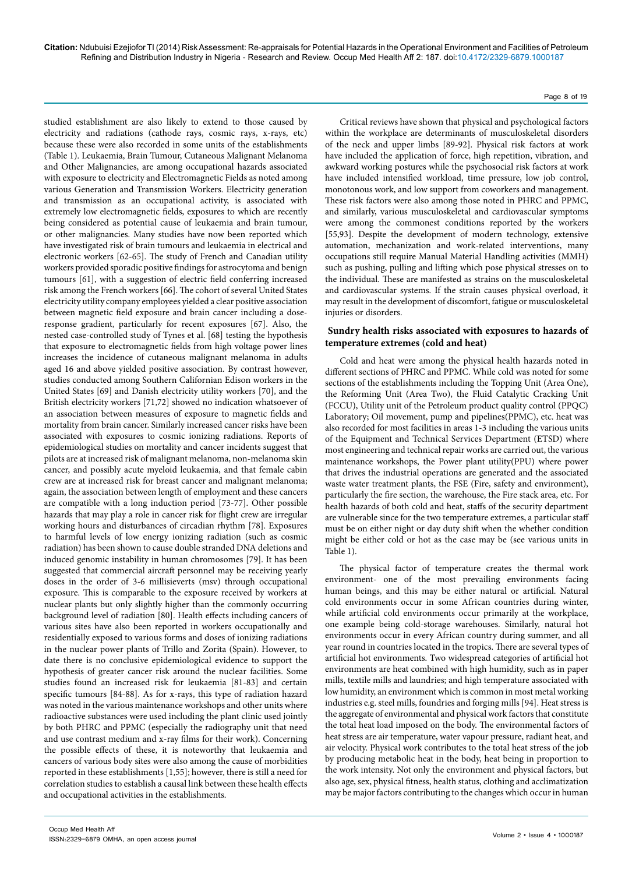studied establishment are also likely to extend to those caused by electricity and radiations (cathode rays, cosmic rays, x-rays, etc) because these were also recorded in some units of the establishments (Table 1). Leukaemia, Brain Tumour, Cutaneous Malignant Melanoma and Other Malignancies, are among occupational hazards associated with exposure to electricity and Electromagnetic Fields as noted among various Generation and Transmission Workers. Electricity generation and transmission as an occupational activity, is associated with extremely low electromagnetic fields, exposures to which are recently being considered as potential cause of leukaemia and brain tumour, or other malignancies. Many studies have now been reported which have investigated risk of brain tumours and leukaemia in electrical and electronic workers [62-65]. The study of French and Canadian utility workers provided sporadic positive findings for astrocytoma and benign tumours [61], with a suggestion of electric field conferring increased risk among the French workers [66]. The cohort of several United States electricity utility company employees yielded a clear positive association between magnetic field exposure and brain cancer including a doseresponse gradient, particularly for recent exposures [67]. Also, the nested case-controlled study of Tynes et al. [68] testing the hypothesis that exposure to electromagnetic fields from high voltage power lines increases the incidence of cutaneous malignant melanoma in adults aged 16 and above yielded positive association. By contrast however, studies conducted among Southern Californian Edison workers in the United States [69] and Danish electricity utility workers [70], and the British electricity workers [71,72] showed no indication whatsoever of an association between measures of exposure to magnetic fields and mortality from brain cancer. Similarly increased cancer risks have been associated with exposures to cosmic ionizing radiations. Reports of epidemiological studies on mortality and cancer incidents suggest that pilots are at increased risk of malignant melanoma, non-melanoma skin cancer, and possibly acute myeloid leukaemia, and that female cabin crew are at increased risk for breast cancer and malignant melanoma; again, the association between length of employment and these cancers are compatible with a long induction period [73-77]. Other possible hazards that may play a role in cancer risk for flight crew are irregular working hours and disturbances of circadian rhythm [78]. Exposures to harmful levels of low energy ionizing radiation (such as cosmic radiation) has been shown to cause double stranded DNA deletions and induced genomic instability in human chromosomes [79]. It has been suggested that commercial aircraft personnel may be receiving yearly doses in the order of 3-6 millisieverts (msv) through occupational exposure. This is comparable to the exposure received by workers at nuclear plants but only slightly higher than the commonly occurring background level of radiation [80]. Health effects including cancers of various sites have also been reported in workers occupationally and residentially exposed to various forms and doses of ionizing radiations in the nuclear power plants of Trillo and Zorita (Spain). However, to date there is no conclusive epidemiological evidence to support the hypothesis of greater cancer risk around the nuclear facilities. Some studies found an increased risk for leukaemia [81-83] and certain specific tumours [84-88]. As for x-rays, this type of radiation hazard was noted in the various maintenance workshops and other units where radioactive substances were used including the plant clinic used jointly by both PHRC and PPMC (especially the radiography unit that need and use contrast medium and x-ray films for their work). Concerning the possible effects of these, it is noteworthy that leukaemia and cancers of various body sites were also among the cause of morbidities reported in these establishments [1,55]; however, there is still a need for correlation studies to establish a causal link between these health effects and occupational activities in the establishments.

Critical reviews have shown that physical and psychological factors within the workplace are determinants of musculoskeletal disorders of the neck and upper limbs [89-92]. Physical risk factors at work have included the application of force, high repetition, vibration, and awkward working postures while the psychosocial risk factors at work have included intensified workload, time pressure, low job control, monotonous work, and low support from coworkers and management. These risk factors were also among those noted in PHRC and PPMC, and similarly, various musculoskeletal and cardiovascular symptoms were among the commonest conditions reported by the workers [55,93]. Despite the development of modern technology, extensive automation, mechanization and work-related interventions, many occupations still require Manual Material Handling activities (MMH) such as pushing, pulling and lifting which pose physical stresses on to the individual. These are manifested as strains on the musculoskeletal and cardiovascular systems. If the strain causes physical overload, it may result in the development of discomfort, fatigue or musculoskeletal injuries or disorders.

Page 8 of 19

#### **Sundry health risks associated with exposures to hazards of temperature extremes (cold and heat)**

Cold and heat were among the physical health hazards noted in different sections of PHRC and PPMC. While cold was noted for some sections of the establishments including the Topping Unit (Area One), the Reforming Unit (Area Two), the Fluid Catalytic Cracking Unit (FCCU), Utility unit of the Petroleum product quality control (PPQC) Laboratory; Oil movement, pump and pipelines(PPMC), etc. heat was also recorded for most facilities in areas 1-3 including the various units of the Equipment and Technical Services Department (ETSD) where most engineering and technical repair works are carried out, the various maintenance workshops, the Power plant utility(PPU) where power that drives the industrial operations are generated and the associated waste water treatment plants, the FSE (Fire, safety and environment), particularly the fire section, the warehouse, the Fire stack area, etc. For health hazards of both cold and heat, staffs of the security department are vulnerable since for the two temperature extremes, a particular staff must be on either night or day duty shift when the whether condition might be either cold or hot as the case may be (see various units in Table 1).

The physical factor of temperature creates the thermal work environment- one of the most prevailing environments facing human beings, and this may be either natural or artificial. Natural cold environments occur in some African countries during winter, while artificial cold environments occur primarily at the workplace, one example being cold-storage warehouses. Similarly, natural hot environments occur in every African country during summer, and all year round in countries located in the tropics. There are several types of artificial hot environments. Two widespread categories of artificial hot environments are heat combined with high humidity, such as in paper mills, textile mills and laundries; and high temperature associated with low humidity, an environment which is common in most metal working industries e.g. steel mills, foundries and forging mills [94]. Heat stress is the aggregate of environmental and physical work factors that constitute the total heat load imposed on the body. The environmental factors of heat stress are air temperature, water vapour pressure, radiant heat, and air velocity. Physical work contributes to the total heat stress of the job by producing metabolic heat in the body, heat being in proportion to the work intensity. Not only the environment and physical factors, but also age, sex, physical fitness, health status, clothing and acclimatization may be major factors contributing to the changes which occur in human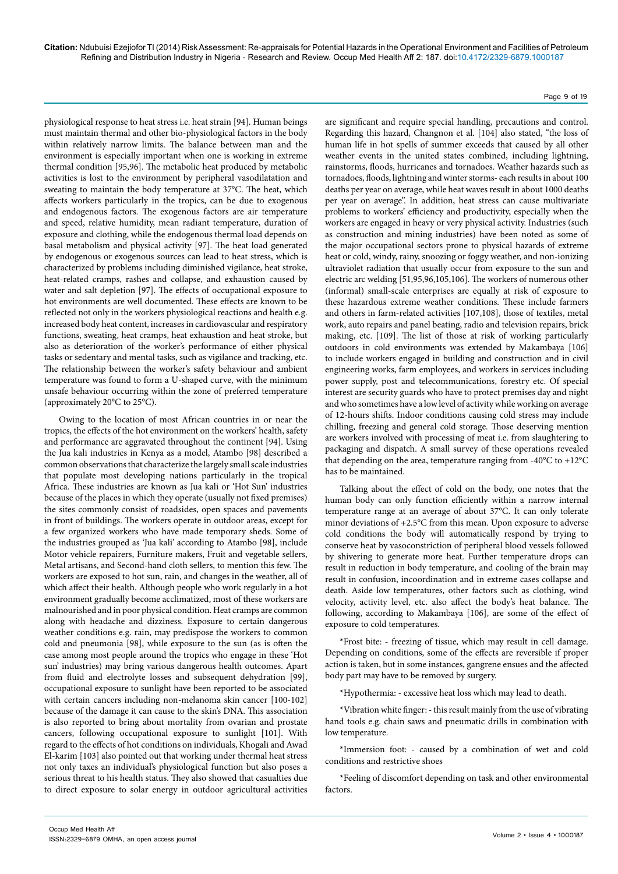physiological response to heat stress i.e. heat strain [94]. Human beings must maintain thermal and other bio-physiological factors in the body within relatively narrow limits. The balance between man and the environment is especially important when one is working in extreme thermal condition [95,96]. The metabolic heat produced by metabolic activities is lost to the environment by peripheral vasodilatation and sweating to maintain the body temperature at 37°C. The heat, which affects workers particularly in the tropics, can be due to exogenous and endogenous factors. The exogenous factors are air temperature and speed, relative humidity, mean radiant temperature, duration of exposure and clothing, while the endogenous thermal load depends on basal metabolism and physical activity [97]. The heat load generated by endogenous or exogenous sources can lead to heat stress, which is characterized by problems including diminished vigilance, heat stroke, heat-related cramps, rashes and collapse, and exhaustion caused by water and salt depletion [97]. The effects of occupational exposure to hot environments are well documented. These effects are known to be reflected not only in the workers physiological reactions and health e.g. increased body heat content, increases in cardiovascular and respiratory functions, sweating, heat cramps, heat exhaustion and heat stroke, but also as deterioration of the worker's performance of either physical tasks or sedentary and mental tasks, such as vigilance and tracking, etc. The relationship between the worker's safety behaviour and ambient temperature was found to form a U-shaped curve, with the minimum unsafe behaviour occurring within the zone of preferred temperature (approximately 20°C to 25°C).

Owing to the location of most African countries in or near the tropics, the effects of the hot environment on the workers' health, safety and performance are aggravated throughout the continent [94]. Using the Jua kali industries in Kenya as a model, Atambo [98] described a common observations that characterize the largely small scale industries that populate most developing nations particularly in the tropical Africa. These industries are known as Jua kali or 'Hot Sun' industries because of the places in which they operate (usually not fixed premises) the sites commonly consist of roadsides, open spaces and pavements in front of buildings. The workers operate in outdoor areas, except for a few organized workers who have made temporary sheds. Some of the industries grouped as 'Jua kali' according to Atambo [98], include Motor vehicle repairers, Furniture makers, Fruit and vegetable sellers, Metal artisans, and Second-hand cloth sellers, to mention this few. The workers are exposed to hot sun, rain, and changes in the weather, all of which affect their health. Although people who work regularly in a hot environment gradually become acclimatized, most of these workers are malnourished and in poor physical condition. Heat cramps are common along with headache and dizziness. Exposure to certain dangerous weather conditions e.g. rain, may predispose the workers to common cold and pneumonia [98], while exposure to the sun (as is often the case among most people around the tropics who engage in these 'Hot sun' industries) may bring various dangerous health outcomes. Apart from fluid and electrolyte losses and subsequent dehydration [99], occupational exposure to sunlight have been reported to be associated with certain cancers including non-melanoma skin cancer [100-102] because of the damage it can cause to the skin's DNA. This association is also reported to bring about mortality from ovarian and prostate cancers, following occupational exposure to sunlight [101]. With regard to the effects of hot conditions on individuals, Khogali and Awad El-karim [103] also pointed out that working under thermal heat stress not only taxes an individual's physiological function but also poses a serious threat to his health status. They also showed that casualties due to direct exposure to solar energy in outdoor agricultural activities

are significant and require special handling, precautions and control. Regarding this hazard, Changnon et al. [104] also stated, "the loss of human life in hot spells of summer exceeds that caused by all other weather events in the united states combined, including lightning, rainstorms, floods, hurricanes and tornadoes. Weather hazards such as tornadoes, floods, lightning and winter storms- each results in about 100 deaths per year on average, while heat waves result in about 1000 deaths per year on average". In addition, heat stress can cause multivariate problems to workers' efficiency and productivity, especially when the workers are engaged in heavy or very physical activity. Industries (such as construction and mining industries) have been noted as some of the major occupational sectors prone to physical hazards of extreme heat or cold, windy, rainy, snoozing or foggy weather, and non-ionizing ultraviolet radiation that usually occur from exposure to the sun and electric arc welding [51,95,96,105,106]. The workers of numerous other (informal) small-scale enterprises are equally at risk of exposure to these hazardous extreme weather conditions. These include farmers and others in farm-related activities [107,108], those of textiles, metal work, auto repairs and panel beating, radio and television repairs, brick making, etc. [109]. The list of those at risk of working particularly outdoors in cold environments was extended by Makambaya [106] to include workers engaged in building and construction and in civil engineering works, farm employees, and workers in services including power supply, post and telecommunications, forestry etc. Of special interest are security guards who have to protect premises day and night and who sometimes have a low level of activity while working on average of 12-hours shifts. Indoor conditions causing cold stress may include chilling, freezing and general cold storage. Those deserving mention are workers involved with processing of meat i.e. from slaughtering to packaging and dispatch. A small survey of these operations revealed that depending on the area, temperature ranging from -40°C to +12°C has to be maintained.

Talking about the effect of cold on the body, one notes that the human body can only function efficiently within a narrow internal temperature range at an average of about 37°C. It can only tolerate minor deviations of +2.5°C from this mean. Upon exposure to adverse cold conditions the body will automatically respond by trying to conserve heat by vasoconstriction of peripheral blood vessels followed by shivering to generate more heat. Further temperature drops can result in reduction in body temperature, and cooling of the brain may result in confusion, incoordination and in extreme cases collapse and death. Aside low temperatures, other factors such as clothing, wind velocity, activity level, etc. also affect the body's heat balance. The following, according to Makambaya [106], are some of the effect of exposure to cold temperatures.

\*Frost bite: - freezing of tissue, which may result in cell damage. Depending on conditions, some of the effects are reversible if proper action is taken, but in some instances, gangrene ensues and the affected body part may have to be removed by surgery.

\*Hypothermia: - excessive heat loss which may lead to death.

\*Vibration white finger: - this result mainly from the use of vibrating hand tools e.g. chain saws and pneumatic drills in combination with low temperature.

\*Immersion foot: - caused by a combination of wet and cold conditions and restrictive shoes

\*Feeling of discomfort depending on task and other environmental factors.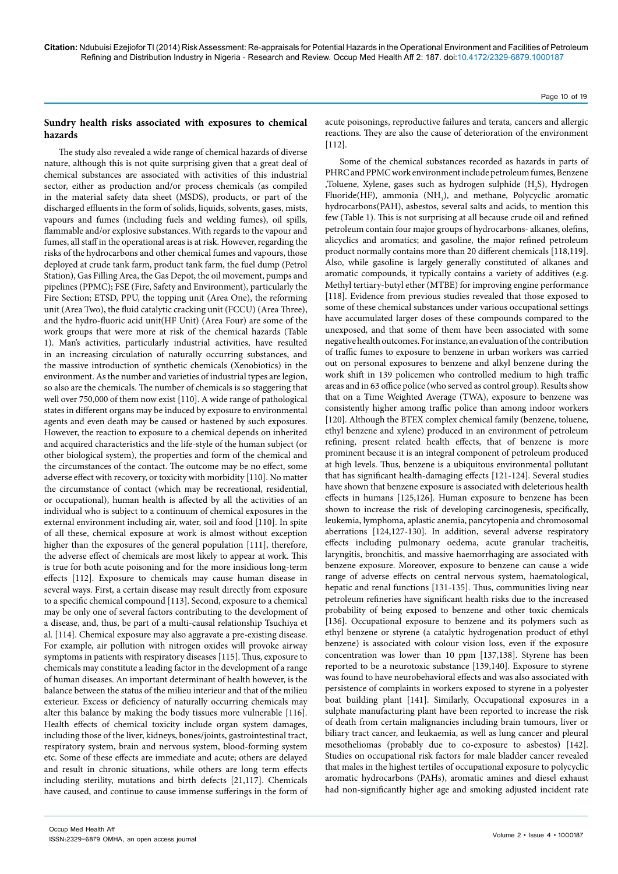#### Page 10 of 19

## **Sundry health risks associated with exposures to chemical hazards**

The study also revealed a wide range of chemical hazards of diverse nature, although this is not quite surprising given that a great deal of chemical substances are associated with activities of this industrial sector, either as production and/or process chemicals (as compiled in the material safety data sheet (MSDS), products, or part of the discharged effluents in the form of solids, liquids, solvents, gases, mists, vapours and fumes (including fuels and welding fumes), oil spills, flammable and/or explosive substances. With regards to the vapour and fumes, all staff in the operational areas is at risk. However, regarding the risks of the hydrocarbons and other chemical fumes and vapours, those deployed at crude tank farm, product tank farm, the fuel dump (Petrol Station), Gas Filling Area, the Gas Depot, the oil movement, pumps and pipelines (PPMC); FSE (Fire, Safety and Environment), particularly the Fire Section; ETSD, PPU, the topping unit (Area One), the reforming unit (Area Two), the fluid catalytic cracking unit (FCCU) (Area Three), and the hydro-fluoric acid unit(HF Unit) (Area Four) are some of the work groups that were more at risk of the chemical hazards (Table 1). Man's activities, particularly industrial activities, have resulted in an increasing circulation of naturally occurring substances, and the massive introduction of synthetic chemicals (Xenobiotics) in the environment. As the number and varieties of industrial types are legion, so also are the chemicals. The number of chemicals is so staggering that well over 750,000 of them now exist [110]. A wide range of pathological states in different organs may be induced by exposure to environmental agents and even death may be caused or hastened by such exposures. However, the reaction to exposure to a chemical depends on inherited and acquired characteristics and the life-style of the human subject (or other biological system), the properties and form of the chemical and the circumstances of the contact. The outcome may be no effect, some adverse effect with recovery, or toxicity with morbidity [110]. No matter the circumstance of contact (which may be recreational, residential, or occupational), human health is affected by all the activities of an individual who is subject to a continuum of chemical exposures in the external environment including air, water, soil and food [110]. In spite of all these, chemical exposure at work is almost without exception higher than the exposures of the general population [111], therefore, the adverse effect of chemicals are most likely to appear at work. This is true for both acute poisoning and for the more insidious long-term effects [112]. Exposure to chemicals may cause human disease in several ways. First, a certain disease may result directly from exposure to a specific chemical compound [113]. Second, exposure to a chemical may be only one of several factors contributing to the development of a disease, and, thus, be part of a multi-causal relationship Tsuchiya et al. [114]. Chemical exposure may also aggravate a pre-existing disease. For example, air pollution with nitrogen oxides will provoke airway symptoms in patients with respiratory diseases [115]. Thus, exposure to chemicals may constitute a leading factor in the development of a range of human diseases. An important determinant of health however, is the balance between the status of the milieu interieur and that of the milieu exterieur. Excess or deficiency of naturally occurring chemicals may alter this balance by making the body tissues more vulnerable [116]. Health effects of chemical toxicity include organ system damages, including those of the liver, kidneys, bones/joints, gastrointestinal tract, respiratory system, brain and nervous system, blood-forming system etc. Some of these effects are immediate and acute; others are delayed and result in chronic situations, while others are long term effects including sterility, mutations and birth defects [21,117]. Chemicals have caused, and continue to cause immense sufferings in the form of acute poisonings, reproductive failures and terata, cancers and allergic reactions. They are also the cause of deterioration of the environment [112].

Some of the chemical substances recorded as hazards in parts of PHRC and PPMC work environment include petroleum fumes, Benzene ,Toluene, Xylene, gases such as hydrogen sulphide (H<sub>2</sub>S), Hydrogen Fluoride(HF), ammonia (NH<sub>3</sub>), and methane, Polycyclic aromatic hydrocarbons(PAH), asbestos, several salts and acids, to mention this few (Table 1). This is not surprising at all because crude oil and refined petroleum contain four major groups of hydrocarbons- alkanes, olefins, alicyclics and aromatics; and gasoline, the major refined petroleum product normally contains more than 20 different chemicals [118,119]. Also, while gasoline is largely generally constituted of alkanes and aromatic compounds, it typically contains a variety of additives (e.g. Methyl tertiary-butyl ether (MTBE) for improving engine performance [118]. Evidence from previous studies revealed that those exposed to some of these chemical substances under various occupational settings have accumulated larger doses of these compounds compared to the unexposed, and that some of them have been associated with some negative health outcomes. For instance, an evaluation of the contribution of traffic fumes to exposure to benzene in urban workers was carried out on personal exposures to benzene and alkyl benzene during the work shift in 139 policemen who controlled medium to high traffic areas and in 63 office police (who served as control group). Results show that on a Time Weighted Average (TWA), exposure to benzene was consistently higher among traffic police than among indoor workers [120]. Although the BTEX complex chemical family (benzene, toluene, ethyl benzene and xylene) produced in an environment of petroleum refining, present related health effects, that of benzene is more prominent because it is an integral component of petroleum produced at high levels. Thus, benzene is a ubiquitous environmental pollutant that has significant health-damaging effects [121-124]. Several studies have shown that benzene exposure is associated with deleterious health effects in humans [125,126]. Human exposure to benzene has been shown to increase the risk of developing carcinogenesis, specifically, leukemia, lymphoma, aplastic anemia, pancytopenia and chromosomal aberrations [124,127-130]. In addition, several adverse respiratory effects including pulmonary oedema, acute granular tracheitis, laryngitis, bronchitis, and massive haemorrhaging are associated with benzene exposure. Moreover, exposure to benzene can cause a wide range of adverse effects on central nervous system, haematological, hepatic and renal functions [131-135]. Thus, communities living near petroleum refineries have significant health risks due to the increased probability of being exposed to benzene and other toxic chemicals [136]. Occupational exposure to benzene and its polymers such as ethyl benzene or styrene (a catalytic hydrogenation product of ethyl benzene) is associated with colour vision loss, even if the exposure concentration was lower than 10 ppm [137,138]. Styrene has been reported to be a neurotoxic substance [139,140]. Exposure to styrene was found to have neurobehavioral effects and was also associated with persistence of complaints in workers exposed to styrene in a polyester boat building plant [141]. Similarly, Occupational exposures in a sulphate manufacturing plant have been reported to increase the risk of death from certain malignancies including brain tumours, liver or biliary tract cancer, and leukaemia, as well as lung cancer and pleural mesotheliomas (probably due to co-exposure to asbestos) [142]. Studies on occupational risk factors for male bladder cancer revealed that males in the highest tertiles of occupational exposure to polycyclic aromatic hydrocarbons (PAHs), aromatic amines and diesel exhaust had non-significantly higher age and smoking adjusted incident rate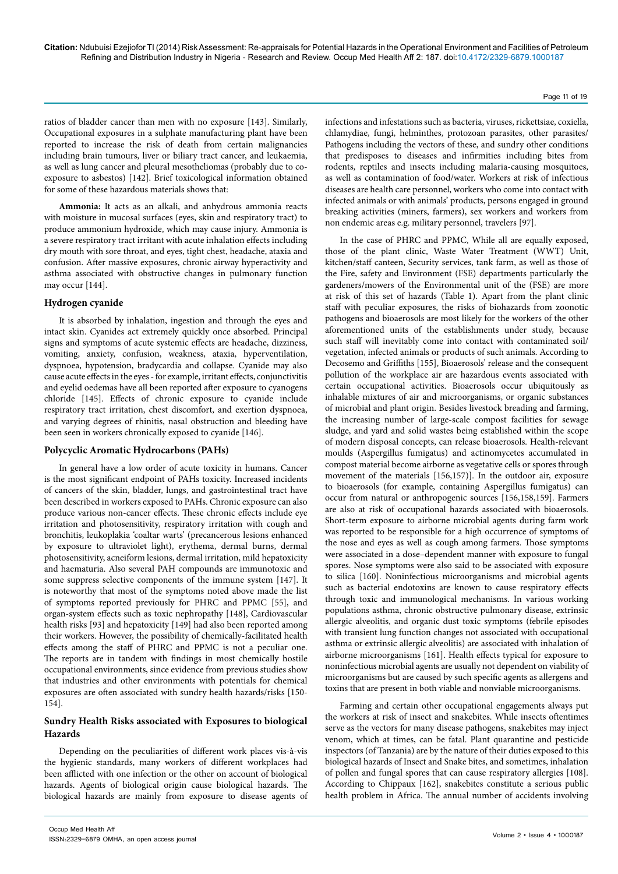ratios of bladder cancer than men with no exposure [143]. Similarly, Occupational exposures in a sulphate manufacturing plant have been reported to increase the risk of death from certain malignancies including brain tumours, liver or biliary tract cancer, and leukaemia, as well as lung cancer and pleural mesotheliomas (probably due to coexposure to asbestos) [142]. Brief toxicological information obtained for some of these hazardous materials shows that:

**Ammonia:** It acts as an alkali, and anhydrous ammonia reacts with moisture in mucosal surfaces (eyes, skin and respiratory tract) to produce ammonium hydroxide, which may cause injury. Ammonia is a severe respiratory tract irritant with acute inhalation effects including dry mouth with sore throat, and eyes, tight chest, headache, ataxia and confusion. After massive exposures, chronic airway hyperactivity and asthma associated with obstructive changes in pulmonary function may occur [144].

## **Hydrogen cyanide**

It is absorbed by inhalation, ingestion and through the eyes and intact skin. Cyanides act extremely quickly once absorbed. Principal signs and symptoms of acute systemic effects are headache, dizziness, vomiting, anxiety, confusion, weakness, ataxia, hyperventilation, dyspnoea, hypotension, bradycardia and collapse. Cyanide may also cause acute effects in the eyes - for example, irritant effects, conjunctivitis and eyelid oedemas have all been reported after exposure to cyanogens chloride [145]. Effects of chronic exposure to cyanide include respiratory tract irritation, chest discomfort, and exertion dyspnoea, and varying degrees of rhinitis, nasal obstruction and bleeding have been seen in workers chronically exposed to cyanide [146].

## **Polycyclic Aromatic Hydrocarbons (PAHs)**

In general have a low order of acute toxicity in humans. Cancer is the most significant endpoint of PAHs toxicity. Increased incidents of cancers of the skin, bladder, lungs, and gastrointestinal tract have been described in workers exposed to PAHs. Chronic exposure can also produce various non-cancer effects. These chronic effects include eye irritation and photosensitivity, respiratory irritation with cough and bronchitis, leukoplakia 'coaltar warts' (precancerous lesions enhanced by exposure to ultraviolet light), erythema, dermal burns, dermal photosensitivity, acneiform lesions, dermal irritation, mild hepatoxicity and haematuria. Also several PAH compounds are immunotoxic and some suppress selective components of the immune system [147]. It is noteworthy that most of the symptoms noted above made the list of symptoms reported previously for PHRC and PPMC [55], and organ-system effects such as toxic nephropathy [148], Cardiovascular health risks [93] and hepatoxicity [149] had also been reported among their workers. However, the possibility of chemically-facilitated health effects among the staff of PHRC and PPMC is not a peculiar one. The reports are in tandem with findings in most chemically hostile occupational environments, since evidence from previous studies show that industries and other environments with potentials for chemical exposures are often associated with sundry health hazards/risks [150- 154].

## **Sundry Health Risks associated with Exposures to biological Hazards**

Depending on the peculiarities of different work places vis-à-vis the hygienic standards, many workers of different workplaces had been afflicted with one infection or the other on account of biological hazards. Agents of biological origin cause biological hazards. The biological hazards are mainly from exposure to disease agents of

infections and infestations such as bacteria, viruses, rickettsiae, coxiella, chlamydiae, fungi, helminthes, protozoan parasites, other parasites/ Pathogens including the vectors of these, and sundry other conditions that predisposes to diseases and infirmities including bites from rodents, reptiles and insects including malaria-causing mosquitoes, as well as contamination of food/water. Workers at risk of infectious diseases are health care personnel, workers who come into contact with infected animals or with animals' products, persons engaged in ground breaking activities (miners, farmers), sex workers and workers from non endemic areas e.g. military personnel, travelers [97].

In the case of PHRC and PPMC, While all are equally exposed, those of the plant clinic, Waste Water Treatment (WWT) Unit, kitchen/staff canteen, Security services, tank farm, as well as those of the Fire, safety and Environment (FSE) departments particularly the gardeners/mowers of the Environmental unit of the (FSE) are more at risk of this set of hazards (Table 1). Apart from the plant clinic staff with peculiar exposures, the risks of biohazards from zoonotic pathogens and bioaerosols are most likely for the workers of the other aforementioned units of the establishments under study, because such staff will inevitably come into contact with contaminated soil/ vegetation, infected animals or products of such animals. According to Decosemo and Griffiths [155], Bioaerosols' release and the consequent pollution of the workplace air are hazardous events associated with certain occupational activities. Bioaerosols occur ubiquitously as inhalable mixtures of air and microorganisms, or organic substances of microbial and plant origin. Besides livestock breading and farming, the increasing number of large-scale compost facilities for sewage sludge, and yard and solid wastes being established within the scope of modern disposal concepts, can release bioaerosols. Health-relevant moulds (Aspergillus fumigatus) and actinomycetes accumulated in compost material become airborne as vegetative cells or spores through movement of the materials [156,157)]. In the outdoor air, exposure to bioaerosols (for example, containing Aspergillus fumigatus) can occur from natural or anthropogenic sources [156,158,159]. Farmers are also at risk of occupational hazards associated with bioaerosols. Short-term exposure to airborne microbial agents during farm work was reported to be responsible for a high occurrence of symptoms of the nose and eyes as well as cough among farmers. Those symptoms were associated in a dose–dependent manner with exposure to fungal spores. Nose symptoms were also said to be associated with exposure to silica [160]. Noninfectious microorganisms and microbial agents such as bacterial endotoxins are known to cause respiratory effects through toxic and immunological mechanisms. In various working populations asthma, chronic obstructive pulmonary disease, extrinsic allergic alveolitis, and organic dust toxic symptoms (febrile episodes with transient lung function changes not associated with occupational asthma or extrinsic allergic alveolitis) are associated with inhalation of airborne microorganisms [161]. Health effects typical for exposure to noninfectious microbial agents are usually not dependent on viability of microorganisms but are caused by such specific agents as allergens and toxins that are present in both viable and nonviable microorganisms.

Farming and certain other occupational engagements always put the workers at risk of insect and snakebites. While insects oftentimes serve as the vectors for many disease pathogens, snakebites may inject venom, which at times, can be fatal. Plant quarantine and pesticide inspectors (of Tanzania) are by the nature of their duties exposed to this biological hazards of Insect and Snake bites, and sometimes, inhalation of pollen and fungal spores that can cause respiratory allergies [108]. According to Chippaux [162], snakebites constitute a serious public health problem in Africa. The annual number of accidents involving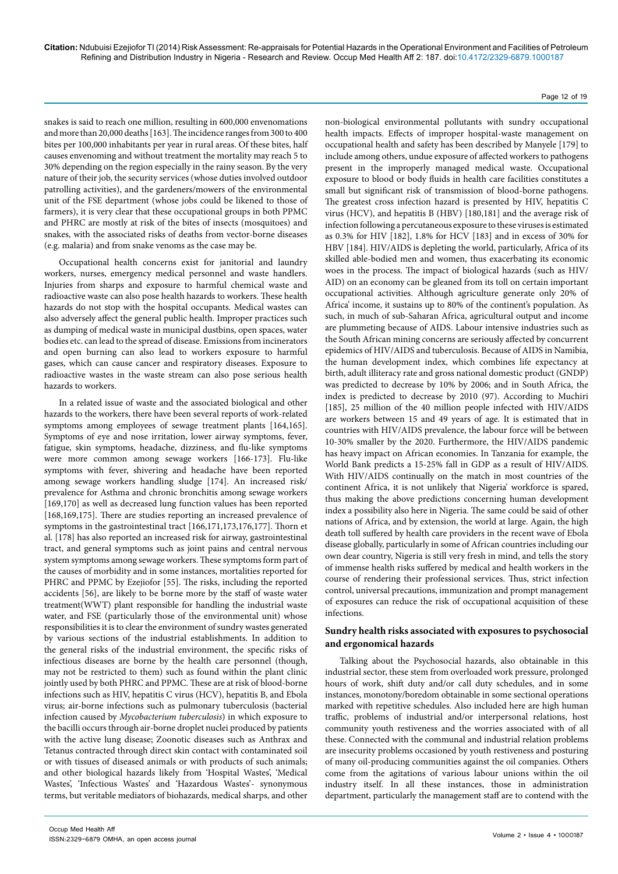snakes is said to reach one million, resulting in 600,000 envenomations and more than 20,000 deaths [163]. The incidence ranges from 300 to 400 bites per 100,000 inhabitants per year in rural areas. Of these bites, half causes envenoming and without treatment the mortality may reach 5 to 30% depending on the region especially in the rainy season. By the very nature of their job, the security services (whose duties involved outdoor patrolling activities), and the gardeners/mowers of the environmental unit of the FSE department (whose jobs could be likened to those of farmers), it is very clear that these occupational groups in both PPMC and PHRC are mostly at risk of the bites of insects (mosquitoes) and snakes, with the associated risks of deaths from vector-borne diseases (e.g. malaria) and from snake venoms as the case may be.

Occupational health concerns exist for janitorial and laundry workers, nurses, emergency medical personnel and waste handlers. Injuries from sharps and exposure to harmful chemical waste and radioactive waste can also pose health hazards to workers. These health hazards do not stop with the hospital occupants. Medical wastes can also adversely affect the general public health. Improper practices such as dumping of medical waste in municipal dustbins, open spaces, water bodies etc. can lead to the spread of disease. Emissions from incinerators and open burning can also lead to workers exposure to harmful gases, which can cause cancer and respiratory diseases. Exposure to radioactive wastes in the waste stream can also pose serious health hazards to workers.

In a related issue of waste and the associated biological and other hazards to the workers, there have been several reports of work-related symptoms among employees of sewage treatment plants [164,165]. Symptoms of eye and nose irritation, lower airway symptoms, fever, fatigue, skin symptoms, headache, dizziness, and flu-like symptoms were more common among sewage workers [166-173]. Flu-like symptoms with fever, shivering and headache have been reported among sewage workers handling sludge [174]. An increased risk/ prevalence for Asthma and chronic bronchitis among sewage workers [169,170] as well as decreased lung function values has been reported [168,169,175]. There are studies reporting an increased prevalence of symptoms in the gastrointestinal tract [166,171,173,176,177]. Thorn et al. [178] has also reported an increased risk for airway, gastrointestinal tract, and general symptoms such as joint pains and central nervous system symptoms among sewage workers. These symptoms form part of the causes of morbidity and in some instances, mortalities reported for PHRC and PPMC by Ezejiofor [55]. The risks, including the reported accidents [56], are likely to be borne more by the staff of waste water treatment(WWT) plant responsible for handling the industrial waste water, and FSE (particularly those of the environmental unit) whose responsibilities it is to clear the environment of sundry wastes generated by various sections of the industrial establishments. In addition to the general risks of the industrial environment, the specific risks of infectious diseases are borne by the health care personnel (though, may not be restricted to them) such as found within the plant clinic jointly used by both PHRC and PPMC. These are at risk of blood-borne infections such as HIV, hepatitis C virus (HCV), hepatitis B, and Ebola virus; air-borne infections such as pulmonary tuberculosis (bacterial infection caused by *Mycobacterium tuberculosis*) in which exposure to the bacilli occurs through air-borne droplet nuclei produced by patients with the active lung disease; Zoonotic diseases such as Anthrax and Tetanus contracted through direct skin contact with contaminated soil or with tissues of diseased animals or with products of such animals; and other biological hazards likely from 'Hospital Wastes', 'Medical Wastes', 'Infectious Wastes' and 'Hazardous Wastes'- synonymous terms, but veritable mediators of biohazards, medical sharps, and other

non-biological environmental pollutants with sundry occupational health impacts. Effects of improper hospital-waste management on occupational health and safety has been described by Manyele [179] to include among others, undue exposure of affected workers to pathogens present in the improperly managed medical waste. Occupational exposure to blood or body fluids in health care facilities constitutes a small but significant risk of transmission of blood-borne pathogens. The greatest cross infection hazard is presented by HIV, hepatitis C virus (HCV), and hepatitis B (HBV) [180,181] and the average risk of infection following a percutaneous exposure to these viruses is estimated as 0.3% for HIV [182], 1.8% for HCV [183] and in excess of 30% for HBV [184]. HIV/AIDS is depleting the world, particularly, Africa of its skilled able-bodied men and women, thus exacerbating its economic woes in the process. The impact of biological hazards (such as HIV/ AID) on an economy can be gleaned from its toll on certain important occupational activities. Although agriculture generate only 20% of Africa' income, it sustains up to 80% of the continent's population. As such, in much of sub-Saharan Africa, agricultural output and income are plummeting because of AIDS. Labour intensive industries such as the South African mining concerns are seriously affected by concurrent epidemics of HIV/AIDS and tuberculosis. Because of AIDS in Namibia, the human development index, which combines life expectancy at birth, adult illiteracy rate and gross national domestic product (GNDP) was predicted to decrease by 10% by 2006; and in South Africa, the index is predicted to decrease by 2010 (97). According to Muchiri [185], 25 million of the 40 million people infected with HIV/AIDS are workers between 15 and 49 years of age. It is estimated that in countries with HIV/AIDS prevalence, the labour force will be between 10-30% smaller by the 2020. Furthermore, the HIV/AIDS pandemic has heavy impact on African economies. In Tanzania for example, the World Bank predicts a 15-25% fall in GDP as a result of HIV/AIDS. With HIV/AIDS continually on the match in most countries of the continent Africa, it is not unlikely that Nigeria' workforce is spared, thus making the above predictions concerning human development index a possibility also here in Nigeria. The same could be said of other nations of Africa, and by extension, the world at large. Again, the high death toll suffered by health care providers in the recent wave of Ebola disease globally, particularly in some of African countries including our own dear country, Nigeria is still very fresh in mind, and tells the story of immense health risks suffered by medical and health workers in the course of rendering their professional services. Thus, strict infection control, universal precautions, immunization and prompt management of exposures can reduce the risk of occupational acquisition of these infections.

## **Sundry health risks associated with exposures to psychosocial and ergonomical hazards**

Talking about the Psychosocial hazards, also obtainable in this industrial sector, these stem from overloaded work pressure, prolonged hours of work, shift duty and/or call duty schedules, and in some instances, monotony/boredom obtainable in some sectional operations marked with repetitive schedules. Also included here are high human traffic, problems of industrial and/or interpersonal relations, host community youth restiveness and the worries associated with of all these. Connected with the communal and industrial relation problems are insecurity problems occasioned by youth restiveness and posturing of many oil-producing communities against the oil companies. Others come from the agitations of various labour unions within the oil industry itself. In all these instances, those in administration department, particularly the management staff are to contend with the

#### Page 12 of 19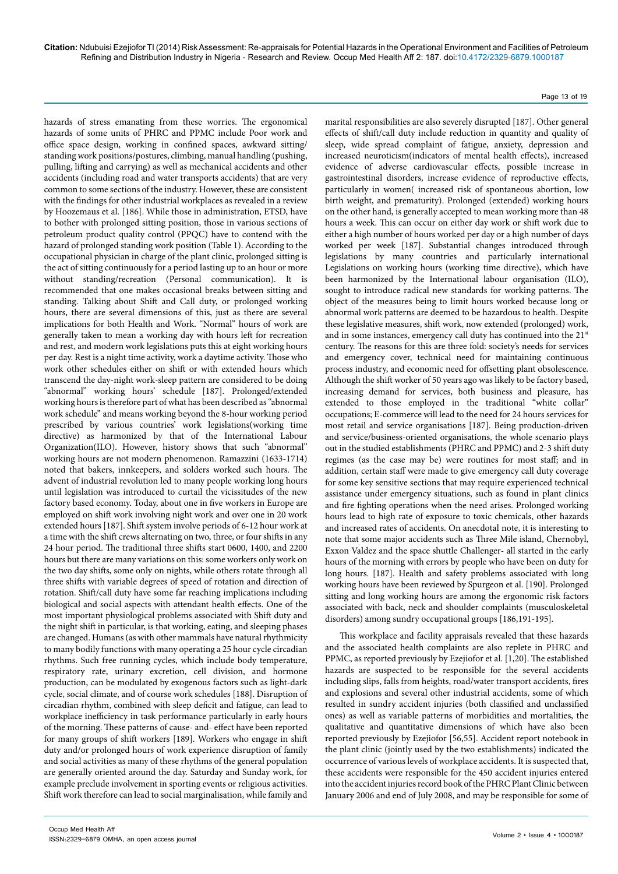hazards of stress emanating from these worries. The ergonomical hazards of some units of PHRC and PPMC include Poor work and office space design, working in confined spaces, awkward sitting/ standing work positions/postures, climbing, manual handling (pushing, pulling, lifting and carrying) as well as mechanical accidents and other accidents (including road and water transports accidents) that are very common to some sections of the industry. However, these are consistent with the findings for other industrial workplaces as revealed in a review by Hoozemaus et al. [186]. While those in administration, ETSD, have to bother with prolonged sitting position, those in various sections of petroleum product quality control (PPQC) have to contend with the hazard of prolonged standing work position (Table 1). According to the occupational physician in charge of the plant clinic, prolonged sitting is the act of sitting continuously for a period lasting up to an hour or more without standing/recreation (Personal communication). It is recommended that one makes occasional breaks between sitting and standing. Talking about Shift and Call duty, or prolonged working hours, there are several dimensions of this, just as there are several implications for both Health and Work. "Normal" hours of work are generally taken to mean a working day with hours left for recreation and rest, and modern work legislations puts this at eight working hours per day. Rest is a night time activity, work a daytime activity. Those who work other schedules either on shift or with extended hours which transcend the day-night work-sleep pattern are considered to be doing "abnormal" working hours' schedule [187]. Prolonged/extended working hours is therefore part of what has been described as "abnormal work schedule" and means working beyond the 8-hour working period prescribed by various countries' work legislations(working time directive) as harmonized by that of the International Labour Organization(ILO). However, history shows that such "abnormal" working hours are not modern phenomenon. Ramazzini (1633-1714) noted that bakers, innkeepers, and solders worked such hours. The advent of industrial revolution led to many people working long hours until legislation was introduced to curtail the vicissitudes of the new factory based economy. Today, about one in five workers in Europe are employed on shift work involving night work and over one in 20 work extended hours [187]. Shift system involve periods of 6-12 hour work at a time with the shift crews alternating on two, three, or four shifts in any 24 hour period. The traditional three shifts start 0600, 1400, and 2200 hours but there are many variations on this: some workers only work on the two day shifts, some only on nights, while others rotate through all three shifts with variable degrees of speed of rotation and direction of rotation. Shift/call duty have some far reaching implications including biological and social aspects with attendant health effects. One of the most important physiological problems associated with Shift duty and the night shift in particular, is that working, eating, and sleeping phases are changed. Humans (as with other mammals have natural rhythmicity to many bodily functions with many operating a 25 hour cycle circadian rhythms. Such free running cycles, which include body temperature, respiratory rate, urinary excretion, cell division, and hormone production, can be modulated by exogenous factors such as light-dark cycle, social climate, and of course work schedules [188]. Disruption of circadian rhythm, combined with sleep deficit and fatigue, can lead to workplace inefficiency in task performance particularly in early hours of the morning. These patterns of cause- and- effect have been reported for many groups of shift workers [189]. Workers who engage in shift duty and/or prolonged hours of work experience disruption of family and social activities as many of these rhythms of the general population are generally oriented around the day. Saturday and Sunday work, for example preclude involvement in sporting events or religious activities. Shift work therefore can lead to social marginalisation, while family and

marital responsibilities are also severely disrupted [187]. Other general effects of shift/call duty include reduction in quantity and quality of sleep, wide spread complaint of fatigue, anxiety, depression and increased neuroticism(indicators of mental health effects), increased evidence of adverse cardiovascular effects, possible increase in gastrointestinal disorders, increase evidence of reproductive effects, particularly in women( increased risk of spontaneous abortion, low birth weight, and prematurity). Prolonged (extended) working hours on the other hand, is generally accepted to mean working more than 48 hours a week. This can occur on either day work or shift work due to either a high number of hours worked per day or a high number of days worked per week [187]. Substantial changes introduced through legislations by many countries and particularly international Legislations on working hours (working time directive), which have been harmonized by the International labour organisation (ILO), sought to introduce radical new standards for working patterns. The object of the measures being to limit hours worked because long or abnormal work patterns are deemed to be hazardous to health. Despite these legislative measures, shift work, now extended (prolonged) work, and in some instances, emergency call duty has continued into the 21<sup>st</sup> century. The reasons for this are three fold: society's needs for services and emergency cover, technical need for maintaining continuous process industry, and economic need for offsetting plant obsolescence. Although the shift worker of 50 years ago was likely to be factory based, increasing demand for services, both business and pleasure, has extended to those employed in the traditional "white collar" occupations; E-commerce will lead to the need for 24 hours services for most retail and service organisations [187]. Being production-driven and service/business-oriented organisations, the whole scenario plays out in the studied establishments (PHRC and PPMC) and 2-3 shift duty regimes (as the case may be) were routines for most staff; and in addition, certain staff were made to give emergency call duty coverage for some key sensitive sections that may require experienced technical assistance under emergency situations, such as found in plant clinics and fire fighting operations when the need arises. Prolonged working hours lead to high rate of exposure to toxic chemicals, other hazards and increased rates of accidents. On anecdotal note, it is interesting to note that some major accidents such as Three Mile island, Chernobyl, Exxon Valdez and the space shuttle Challenger- all started in the early hours of the morning with errors by people who have been on duty for long hours. [187]. Health and safety problems associated with long working hours have been reviewed by Spurgeon et al. [190]. Prolonged sitting and long working hours are among the ergonomic risk factors associated with back, neck and shoulder complaints (musculoskeletal disorders) among sundry occupational groups [186,191-195].

This workplace and facility appraisals revealed that these hazards and the associated health complaints are also replete in PHRC and PPMC, as reported previously by Ezejiofor et al. [1,20]. The established hazards are suspected to be responsible for the several accidents including slips, falls from heights, road/water transport accidents, fires and explosions and several other industrial accidents, some of which resulted in sundry accident injuries (both classified and unclassified ones) as well as variable patterns of morbidities and mortalities, the qualitative and quantitative dimensions of which have also been reported previously by Ezejiofor [56,55]. Accident report notebook in the plant clinic (jointly used by the two establishments) indicated the occurrence of various levels of workplace accidents. It is suspected that, these accidents were responsible for the 450 accident injuries entered into the accident injuries record book of the PHRC Plant Clinic between January 2006 and end of July 2008, and may be responsible for some of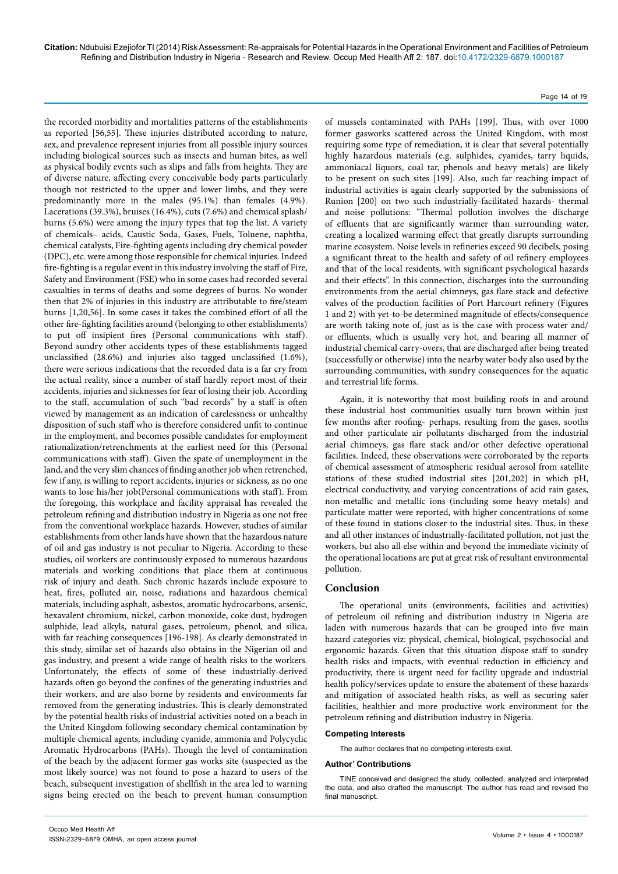the recorded morbidity and mortalities patterns of the establishments as reported [56,55]. These injuries distributed according to nature, sex, and prevalence represent injuries from all possible injury sources including biological sources such as insects and human bites, as well as physical bodily events such as slips and falls from heights. They are of diverse nature, affecting every conceivable body parts particularly though not restricted to the upper and lower limbs, and they were predominantly more in the males (95.1%) than females (4.9%). Lacerations (39.3%), bruises (16.4%), cuts (7.6%) and chemical splash/ burns (5.6%) were among the injury types that top the list. A variety of chemicals– acids, Caustic Soda, Gases, Fuels, Toluene, naphtha, chemical catalysts, Fire-fighting agents including dry chemical powder (DPC), etc. were among those responsible for chemical injuries. Indeed fire-fighting is a regular event in this industry involving the staff of Fire, Safety and Environment (FSE) who in some cases had recorded several casualties in terms of deaths and some degrees of burns. No wonder then that 2% of injuries in this industry are attributable to fire/steam burns [1,20,56]. In some cases it takes the combined effort of all the other fire-fighting facilities around (belonging to other establishments) to put off insipient fires (Personal communications with staff). Beyond sundry other accidents types of these establishments tagged unclassified (28.6%) and injuries also tagged unclassified (1.6%), there were serious indications that the recorded data is a far cry from the actual reality, since a number of staff hardly report most of their accidents, injuries and sicknesses for fear of losing their job. According to the staff, accumulation of such "bad records" by a staff is often viewed by management as an indication of carelessness or unhealthy disposition of such staff who is therefore considered unfit to continue in the employment, and becomes possible candidates for employment rationalization/retrenchments at the earliest need for this (Personal communications with staff). Given the spate of unemployment in the land, and the very slim chances of finding another job when retrenched, few if any, is willing to report accidents, injuries or sickness, as no one wants to lose his/her job(Personal communications with staff). From the foregoing, this workplace and facility appraisal has revealed the petroleum refining and distribution industry in Nigeria as one not free from the conventional workplace hazards. However, studies of similar establishments from other lands have shown that the hazardous nature of oil and gas industry is not peculiar to Nigeria. According to these studies, oil workers are continuously exposed to numerous hazardous materials and working conditions that place them at continuous risk of injury and death. Such chronic hazards include exposure to heat, fires, polluted air, noise, radiations and hazardous chemical materials, including asphalt, asbestos, aromatic hydrocarbons, arsenic, hexavalent chromium, nickel, carbon monoxide, coke dust, hydrogen sulphide, lead alkyls, natural gases, petroleum, phenol, and silica, with far reaching consequences [196-198]. As clearly demonstrated in this study, similar set of hazards also obtains in the Nigerian oil and gas industry, and present a wide range of health risks to the workers. Unfortunately, the effects of some of these industrially-derived hazards often go beyond the confines of the generating industries and their workers, and are also borne by residents and environments far removed from the generating industries. This is clearly demonstrated by the potential health risks of industrial activities noted on a beach in the United Kingdom following secondary chemical contamination by multiple chemical agents, including cyanide, ammonia and Polycyclic Aromatic Hydrocarbons (PAHs). Though the level of contamination of the beach by the adjacent former gas works site (suspected as the most likely source) was not found to pose a hazard to users of the beach, subsequent investigation of shellfish in the area led to warning signs being erected on the beach to prevent human consumption

#### Page 14 of 19

of mussels contaminated with PAHs [199]. Thus, with over 1000 former gasworks scattered across the United Kingdom, with most requiring some type of remediation, it is clear that several potentially highly hazardous materials (e.g. sulphides, cyanides, tarry liquids, ammoniacal liquors, coal tar, phenols and heavy metals) are likely to be present on such sites [199]. Also, such far reaching impact of industrial activities is again clearly supported by the submissions of Runion [200] on two such industrially-facilitated hazards- thermal and noise pollutions: "Thermal pollution involves the discharge of effluents that are significantly warmer than surrounding water, creating a localized warming effect that greatly disrupts surrounding marine ecosystem. Noise levels in refineries exceed 90 decibels, posing a significant threat to the health and safety of oil refinery employees and that of the local residents, with significant psychological hazards and their effects". In this connection, discharges into the surrounding environments from the aerial chimneys, gas flare stack and defective valves of the production facilities of Port Harcourt refinery (Figures 1 and 2) with yet-to-be determined magnitude of effects/consequence are worth taking note of, just as is the case with process water and/ or effluents, which is usually very hot, and bearing all manner of industrial chemical carry-overs, that are discharged after being treated (successfully or otherwise) into the nearby water body also used by the surrounding communities, with sundry consequences for the aquatic and terrestrial life forms.

Again, it is noteworthy that most building roofs in and around these industrial host communities usually turn brown within just few months after roofing- perhaps, resulting from the gases, sooths and other particulate air pollutants discharged from the industrial aerial chimneys, gas flare stack and/or other defective operational facilities. Indeed, these observations were corroborated by the reports of chemical assessment of atmospheric residual aerosol from satellite stations of these studied industrial sites [201,202] in which pH, electrical conductivity, and varying concentrations of acid rain gases, non-metallic and metallic ions (including some heavy metals) and particulate matter were reported, with higher concentrations of some of these found in stations closer to the industrial sites. Thus, in these and all other instances of industrially-facilitated pollution, not just the workers, but also all else within and beyond the immediate vicinity of the operational locations are put at great risk of resultant environmental pollution.

### **Conclusion**

The operational units (environments, facilities and activities) of petroleum oil refining and distribution industry in Nigeria are laden with numerous hazards that can be grouped into five main hazard categories viz: physical, chemical, biological, psychosocial and ergonomic hazards. Given that this situation dispose staff to sundry health risks and impacts, with eventual reduction in efficiency and productivity, there is urgent need for facility upgrade and industrial health policy/services update to ensure the abatement of these hazards and mitigation of associated health risks, as well as securing safer facilities, healthier and more productive work environment for the petroleum refining and distribution industry in Nigeria.

#### **Competing Interests**

The author declares that no competing interests exist.

#### **Author' Contributions**

TINE conceived and designed the study, collected, analyzed and interpreted the data, and also drafted the manuscript. The author has read and revised the final manuscript.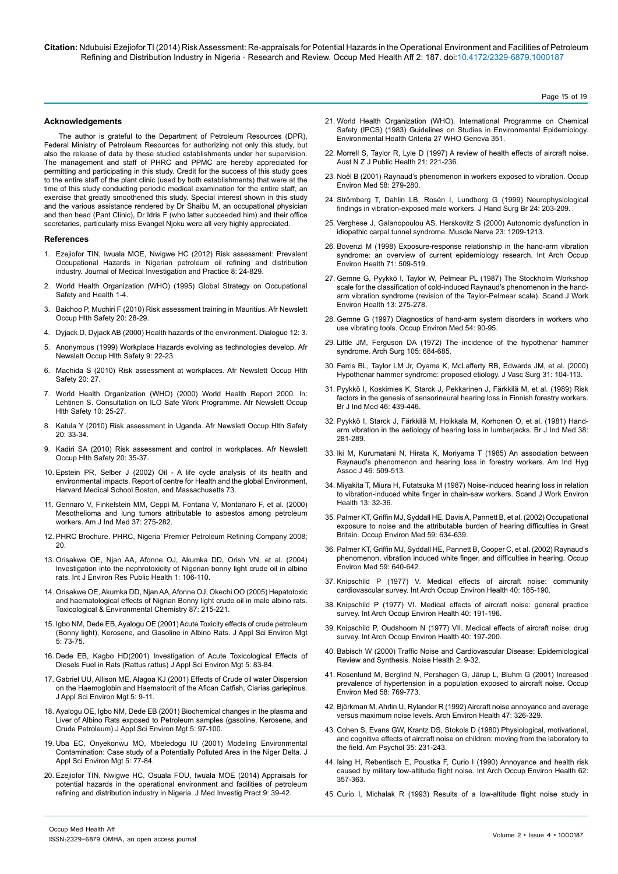#### **Acknowledgements**

The author is grateful to the Department of Petroleum Resources (DPR), Federal Ministry of Petroleum Resources for authorizing not only this study, but also the release of data by these studied establishments under her supervision. The management and staff of PHRC and PPMC are hereby appreciated for permitting and participating in this study. Credit for the success of this study goes to the entire staff of the plant clinic (used by both establishments) that were at the time of this study conducting periodic medical examination for the entire staff, an exercise that greatly smoothened this study. Special interest shown in this study and the various assistance rendered by Dr Shaibu M, an occupational physician and then head (Pant Clinic), Dr Idris F (who latter succeeded him) and their office secretaries, particularly miss Evangel Njoku were all very highly appreciated.

#### **References**

- 1. [Ezejiofor TIN, Iwuala MOE, Nwigwe HC \(2012\) Risk assessment: Prevalent](http://www.ajol.info/index.php/jomip/article/view/84126) [Occupational Hazards in Nigerian petroleum oil refining and distribution](http://www.ajol.info/index.php/jomip/article/view/84126) [industry. Journal of Medical Investigation and Practice 8: 24-829.](http://www.ajol.info/index.php/jomip/article/view/84126)
- 2. World Health Organization (WHO) (1995) Global Strategy on Occupational Safety and Health 1-4.
- 3. Baichoo P, Muchiri F (2010) Risk assessment training in Mauritius. Afr Newslett Occup Hlth Safety 20: 28-29.
- 4. Dyjack D, Dyjack AB (2000) Health hazards of the environment. Dialogue 12: 3.
- 5. Anonymous (1999) Workplace Hazards evolving as technologies develop. Afr Newslett Occup Hlth Safety 9: 22-23.
- 6. Machida S (2010) Risk assessment at workplaces. Afr Newslett Occup Hlth Safety 20: 27.
- 7. World Health Organization (WHO) (2000) World Health Report 2000. In: Lehtinen S. Consultation on ILO Safe Work Programme. Afr Newslett Occup Hlth Safety 10: 25-27.
- 8. Katula Y (2010) Risk assessment in Uganda. Afr Newslett Occup Hlth Safety 20: 33-34.
- 9. Kadiri SA (2010) Risk assessment and control in workplaces. Afr Newslett Occup Hlth Safety 20: 35-37.
- 10. Epstein PR, Selber J (2002) Oil A life cycle analysis of its health and environmental impacts. Report of centre for Health and the global Environment, Harvard Medical School Boston, and Massachusetts 73.
- 11. [Gennaro V, Finkelstein MM, Ceppi M, Fontana V, Montanaro F, et al. \(2000\)](http://www.ncbi.nlm.nih.gov/pubmed/10642417) [Mesothelioma and lung tumors attributable to asbestos among petroleum](http://www.ncbi.nlm.nih.gov/pubmed/10642417) [workers. Am J Ind Med 37: 275-282.](http://www.ncbi.nlm.nih.gov/pubmed/10642417)
- 12. PHRC Brochure. PHRC, Nigeria' Premier Petroleum Refining Company 2008;  $20$
- 13. [Orisakwe OE, Njan AA, Afonne OJ, Akumka DD, Orish VN, et al. \(2004\)](http://www.ncbi.nlm.nih.gov/pubmed/16696185) [Investigation into the nephrotoxicity of Nigerian bonny light crude oil in albino](http://www.ncbi.nlm.nih.gov/pubmed/16696185) [rats. Int J Environ Res Public Health 1: 106-110.](http://www.ncbi.nlm.nih.gov/pubmed/16696185)
- 14. Orisakwe OE, Akumka DD, Njan AA, Afonne OJ, Okechi OO (2005) Hepatotoxic and haematological effects of Nigrian Bonny light crude oil in male albino rats. Toxicological & Environmental Chemistry 87: 215-221.
- 15. Igbo NM, Dede EB, Ayalogu OE (2001) Acute Toxicity effects of crude petroleum (Bonny light), Kerosene, and Gasoline in Albino Rats. J Appl Sci Environ Mgt 5: 73-75.
- 16. Dede EB, Kagbo HD(2001) Investigation of Acute Toxicological Effects of Diesels Fuel in Rats (Rattus rattus) J Appl Sci Environ Mgt 5: 83-84.
- 17. Gabriel UU, Allison ME, Alagoa KJ (2001) Effects of Crude oil water Dispersion on the Haemoglobin and Haematocrit of the Afican Catfish, Clarias gariepinus. J Appl Sci Environ Mgt 5: 9-11.
- 18. Ayalogu OE, Igbo NM, Dede EB (2001) Biochemical changes in the plasma and Liver of Albino Rats exposed to Petroleum samples (gasoline, Kerosene, and Crude Petroleum) J Appl Sci Environ Mgt 5: 97-100.
- 19. Uba EC, Onyekonwu MO, Mbeledogu IU (2001) Modeling Environmental Contamination: Case study of a Potentially Polluted Area in the Niger Delta. J Appl Sci Environ Mgt 5: 77-84.
- 20. Ezejiofor TIN, Nwigwe HC, Osuala FOU, Iwuala MOE (2014) Appraisals for potential hazards in the operational environment and facilities of petroleum refining and distribution industry in Nigeria. J Med Investig Pract 9: 39-42.

21. World Health Organization (WHO), International Programme on Chemical Safety (IPCS) (1983) Guidelines on Studies in Environmental Epidemiology. Environmental Health Criteria 27 WHO Geneva 351.

Page 15 of 19

- 22. [Morrell S, Taylor R, Lyle D \(1997\) A review of health effects of aircraft noise.](http://www.ncbi.nlm.nih.gov/pubmed/9161085)  [Aust N Z J Public Health 21: 221-236.](http://www.ncbi.nlm.nih.gov/pubmed/9161085)
- 23. [Noël B \(2001\) Raynaud's phenomenon in workers exposed to vibration. Occup](http://www.ncbi.nlm.nih.gov/pubmed/11265674)  [Environ Med 58: 279-280.](http://www.ncbi.nlm.nih.gov/pubmed/11265674)
- 24. [Strömberg T, Dahlin LB, Rosén I, Lundborg G \(1999\) Neurophysiological](http://www.ncbi.nlm.nih.gov/pubmed/10372777)  [findings in vibration-exposed male workers. J Hand Surg Br 24: 203-209.](http://www.ncbi.nlm.nih.gov/pubmed/10372777)
- 25. [Verghese J, Galanopoulou AS, Herskovitz S \(2000\) Autonomic dysfunction in](http://www.ncbi.nlm.nih.gov/pubmed/10918257)  [idiopathic carpal tunnel syndrome. Muscle Nerve 23: 1209-1213.](http://www.ncbi.nlm.nih.gov/pubmed/10918257)
- 26. [Bovenzi M \(1998\) Exposure-response relationship in the hand-arm vibration](http://www.ncbi.nlm.nih.gov/pubmed/9860158)  [syndrome: an overview of current epidemiology research. Int Arch Occup](http://www.ncbi.nlm.nih.gov/pubmed/9860158)  [Environ Health 71: 509-519.](http://www.ncbi.nlm.nih.gov/pubmed/9860158)
- 27. [Gemne G, Pyykkö I, Taylor W, Pelmear PL \(1987\) The Stockholm Workshop](http://www.ncbi.nlm.nih.gov/pubmed/3433028)  [scale for the classification of cold-induced Raynaud's phenomenon in the hand](http://www.ncbi.nlm.nih.gov/pubmed/3433028)[arm vibration syndrome \(revision of the Taylor-Pelmear scale\). Scand J Work](http://www.ncbi.nlm.nih.gov/pubmed/3433028)  [Environ Health 13: 275-278.](http://www.ncbi.nlm.nih.gov/pubmed/3433028)
- 28. [Gemne G \(1997\) Diagnostics of hand-arm system disorders in workers who](http://www.ncbi.nlm.nih.gov/pubmed/9072015)  [use vibrating tools. Occup Environ Med 54: 90-95.](http://www.ncbi.nlm.nih.gov/pubmed/9072015)
- 29. [Little JM, Ferguson DA \(1972\) The incidence of the hypothenar hammer](http://www.ncbi.nlm.nih.gov/pubmed/5081541)  [syndrome. Arch Surg 105: 684-685.](http://www.ncbi.nlm.nih.gov/pubmed/5081541)
- 30. [Ferris BL, Taylor LM Jr, Oyama K, McLafferty RB, Edwards JM, et al. \(2000\)](http://www.ncbi.nlm.nih.gov/pubmed/10642713)  [Hypothenar hammer syndrome: proposed etiology. J Vasc Surg 31: 104-113.](http://www.ncbi.nlm.nih.gov/pubmed/10642713)
- 31. [Pyykkö I, Koskimies K, Starck J, Pekkarinen J, Färkkilä M, et al. \(1989\) Risk](http://www.ncbi.nlm.nih.gov/pubmed/2765417)  [factors in the genesis of sensorineural hearing loss in Finnish forestry workers.](http://www.ncbi.nlm.nih.gov/pubmed/2765417)  [Br J Ind Med 46: 439-446.](http://www.ncbi.nlm.nih.gov/pubmed/2765417)
- 32. [Pyykkö I, Starck J, Färkkilä M, Hoikkala M, Korhonen O, et al. \(1981\) Hand](http://www.ncbi.nlm.nih.gov/pubmed/7272242)[arm vibration in the aetiology of hearing loss in lumberjacks. Br J Ind Med 38:](http://www.ncbi.nlm.nih.gov/pubmed/7272242)  [281-289.](http://www.ncbi.nlm.nih.gov/pubmed/7272242)
- 33. [Iki M, Kurumatani N, Hirata K, Moriyama T \(1985\) An association between](http://www.ncbi.nlm.nih.gov/pubmed/4050688)  [Raynaud's phenomenon and hearing loss in forestry workers. Am Ind Hyg](http://www.ncbi.nlm.nih.gov/pubmed/4050688)  [Assoc J 46: 509-513.](http://www.ncbi.nlm.nih.gov/pubmed/4050688)
- 34. [Miyakita T, Miura H, Futatsuka M \(1987\) Noise-induced hearing loss in relation](http://www.ncbi.nlm.nih.gov/pubmed/3576142)  [to vibration-induced white finger in chain-saw workers. Scand J Work Environ](http://www.ncbi.nlm.nih.gov/pubmed/3576142)  [Health 13: 32-36.](http://www.ncbi.nlm.nih.gov/pubmed/3576142)
- 35. [Palmer KT, Griffin MJ, Syddall HE, Davis A, Pannett B, et al. \(2002\) Occupational](http://www.ncbi.nlm.nih.gov/pubmed/12205239)  [exposure to noise and the attributable burden of hearing difficulties in Great](http://www.ncbi.nlm.nih.gov/pubmed/12205239)  [Britain. Occup Environ Med 59: 634-639.](http://www.ncbi.nlm.nih.gov/pubmed/12205239)
- 36. [Palmer KT, Griffin MJ, Syddall HE, Pannett B, Cooper C, et al. \(2002\) Raynaud's](http://www.ncbi.nlm.nih.gov/pubmed/12205240)  [phenomenon, vibration induced white finger, and difficulties in hearing. Occup](http://www.ncbi.nlm.nih.gov/pubmed/12205240)  [Environ Med 59: 640-642.](http://www.ncbi.nlm.nih.gov/pubmed/12205240)
- 37. [Knipschild P \(1977\) V. Medical effects of aircraft noise: community](http://www.ncbi.nlm.nih.gov/pubmed/591083)  [cardiovascular survey. Int Arch Occup Environ Health 40: 185-190.](http://www.ncbi.nlm.nih.gov/pubmed/591083)
- 38. [Knipschild P \(1977\) VI. Medical effects of aircraft noise: general practice](http://www.ncbi.nlm.nih.gov/pubmed/591084)  [survey. Int Arch Occup Environ Health 40: 191-196.](http://www.ncbi.nlm.nih.gov/pubmed/591084)
- 39. [Knipschild P, Oudshoorn N \(1977\) VII. Medical effects of aircraft noise: drug](http://www.ncbi.nlm.nih.gov/pubmed/591085)  [survey. Int Arch Occup Environ Health 40: 197-200.](http://www.ncbi.nlm.nih.gov/pubmed/591085)
- 40. [Babisch W \(2000\) Traffic Noise and Cardiovascular Disease: Epidemiological](http://www.ncbi.nlm.nih.gov/pubmed/12689458)  [Review and Synthesis. Noise Health 2: 9-32.](http://www.ncbi.nlm.nih.gov/pubmed/12689458)
- 41. [Rosenlund M, Berglind N, Pershagen G, Järup L, Bluhm G \(2001\) Increased](http://www.ncbi.nlm.nih.gov/pubmed/11706142)  [prevalence of hypertension in a population exposed to aircraft noise. Occup](http://www.ncbi.nlm.nih.gov/pubmed/11706142)  [Environ Med 58: 769-773.](http://www.ncbi.nlm.nih.gov/pubmed/11706142)
- 42. [Björkman M, Ahrlin U, Rylander R \(1992\) Aircraft noise annoyance and average](http://www.ncbi.nlm.nih.gov/pubmed/1444593)  [versus maximum noise levels. Arch Environ Health 47: 326-329.](http://www.ncbi.nlm.nih.gov/pubmed/1444593)
- 43. [Cohen S, Evans GW, Krantz DS, Stokols D \(1980\) Physiological, motivational,](http://www.ncbi.nlm.nih.gov/pubmed/7377650)  [and cognitive effects of aircraft noise on children: moving from the laboratory to](http://www.ncbi.nlm.nih.gov/pubmed/7377650)  [the field. Am Psychol 35: 231-243.](http://www.ncbi.nlm.nih.gov/pubmed/7377650)
- 44. [Ising H, Rebentisch E, Poustka F, Curio I \(1990\) Annoyance and health risk](http://www.ncbi.nlm.nih.gov/pubmed/2228255)  [caused by military low-altitude flight noise. Int Arch Occup Environ Health 62:](http://www.ncbi.nlm.nih.gov/pubmed/2228255)  [357-363.](http://www.ncbi.nlm.nih.gov/pubmed/2228255)
- 45. [Curio I, Michalak R \(1993\) Results of a low-altitude flight noise study in](http://www.ncbi.nlm.nih.gov/pubmed/8460372)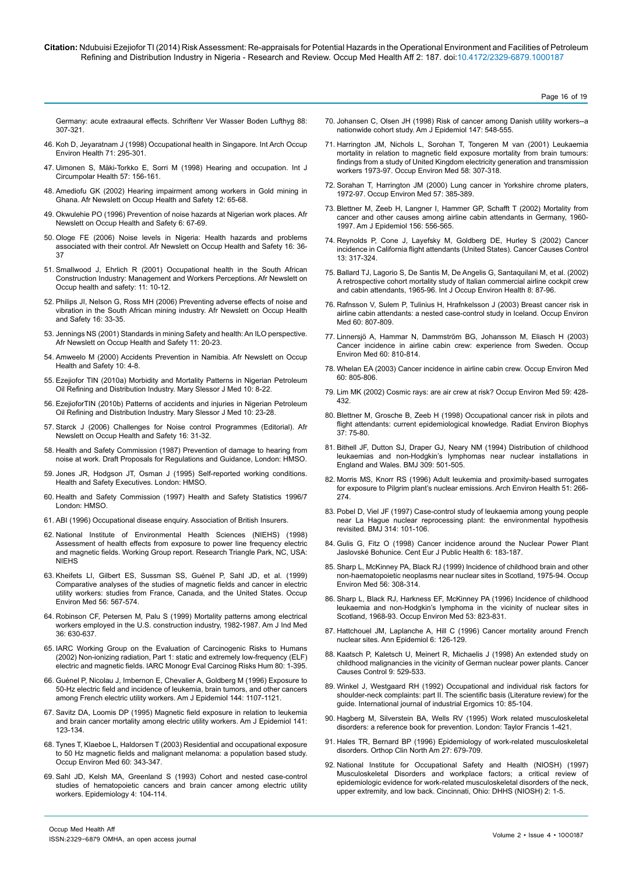Page 16 of 19

[Germany: acute extraaural effects. Schriftenr Ver Wasser Boden Lufthyg 88:](http://www.ncbi.nlm.nih.gov/pubmed/8460372) [307-321.](http://www.ncbi.nlm.nih.gov/pubmed/8460372)

- 46. [Koh D, Jeyaratnam J \(1998\) Occupational health in Singapore. Int Arch Occup](http://www.ncbi.nlm.nih.gov/pubmed/9749967) [Environ Health 71: 295-301.](http://www.ncbi.nlm.nih.gov/pubmed/9749967)
- 47. [Uimonen S, Mäki-Torkko E, Sorri M \(1998\) Hearing and occupation. Int J](http://www.ncbi.nlm.nih.gov/pubmed/9753884) [Circumpolar Health 57: 156-161.](http://www.ncbi.nlm.nih.gov/pubmed/9753884)
- 48. Amediofu GK (2002) Hearing impairment among workers in Gold mining in Ghana. Afr Newslett on Occup Health and Safety 12: 65-68.
- 49. Okwulehie PO (1996) Prevention of noise hazards at Nigerian work places. Afr Newslett on Occup Health and Safety 6: 67-69.
- 50. Ologe FE (2006) Noise levels in Nigeria: Health hazards and problems associated with their control. Afr Newslett on Occup Health and Safety 16: 36- 37
- 51. Smallwood J, Ehrlich R (2001) Occupational health in the South African Construction Industry: Management and Workers Perceptions. Afr Newslett on Occup health and safety: 11: 10-12.
- 52. Philips JI, Nelson G, Ross MH (2006) Preventing adverse effects of noise and vibration in the South African mining industry. Afr Newslett on Occup Health and Safety 16: 33-35.
- 53. Jennings NS (2001) Standards in mining Safety and health: An ILO perspective. Afr Newslett on Occup Health and Safety 11: 20-23.
- 54. Amweelo M (2000) Accidents Prevention in Namibia. Afr Newslett on Occup Health and Safety 10: 4-8.
- 55. Ezejiofor TIN (2010a) Morbidity and Mortality Patterns in Nigerian Petroleum Oil Refining and Distribution Industry. Mary Slessor J Med 10: 8-22.
- 56. EzejioforTIN (2010b) Patterns of accidents and injuries in Nigerian Petroleum Oil Refining and Distribution Industry. Mary Slessor J Med 10: 23-28.
- 57. Starck J (2006) Challenges for Noise control Programmes (Editorial). Afr Newslett on Occup Health and Safety 16: 31-32.
- 58. Health and Safety Commission (1987) Prevention of damage to hearing from noise at work. Draft Proposals for Regulations and Guidance, London: HMSO.
- 59. Jones JR, Hodgson JT, Osman J (1995) Self-reported working conditions. Health and Safety Executives. London: HMSO.
- 60. Health and Safety Commission (1997) Health and Safety Statistics 1996/7 London: HMSO.
- 61. ABI (1996) Occupational disease enquiry. Association of British Insurers.
- 62. National Institute of Environmental Health Sciences (NIEHS) (1998) Assessment of health effects from exposure to power line frequency electric and magnetic fields. Working Group report. Research Triangle Park, NC, USA: NIEHS
- 63. [Kheifets LI, Gilbert ES, Sussman SS, Guénel P, Sahl JD, et al. \(1999\)](http://www.ncbi.nlm.nih.gov/pubmed/10492657) [Comparative analyses of the studies of magnetic fields and cancer in electric](http://www.ncbi.nlm.nih.gov/pubmed/10492657) [utility workers: studies from France, Canada, and the United States. Occup](http://www.ncbi.nlm.nih.gov/pubmed/10492657) [Environ Med 56: 567-574.](http://www.ncbi.nlm.nih.gov/pubmed/10492657)
- 64. [Robinson CF, Petersen M, Palu S \(1999\) Mortality patterns among electrical](http://www.ncbi.nlm.nih.gov/pubmed/10561683) [workers employed in the U.S. construction industry, 1982-1987. Am J Ind Med](http://www.ncbi.nlm.nih.gov/pubmed/10561683) [36: 630-637.](http://www.ncbi.nlm.nih.gov/pubmed/10561683)
- 65. [IARC Working Group on the Evaluation of Carcinogenic Risks to Humans](http://www.ncbi.nlm.nih.gov/pubmed/12071196) [\(2002\) Non-ionizing radiation, Part 1: static and extremely low-frequency \(ELF\)](http://www.ncbi.nlm.nih.gov/pubmed/12071196) [electric and magnetic fields. IARC Monogr Eval Carcinog Risks Hum 80: 1-395.](http://www.ncbi.nlm.nih.gov/pubmed/12071196)
- 66. [Guénel P, Nicolau J, Imbernon E, Chevalier A, Goldberg M \(1996\) Exposure to](http://www.ncbi.nlm.nih.gov/pubmed/8956623) [50-Hz electric field and incidence of leukemia, brain tumors, and other cancers](http://www.ncbi.nlm.nih.gov/pubmed/8956623) [among French electric utility workers. Am J Epidemiol 144: 1107-1121.](http://www.ncbi.nlm.nih.gov/pubmed/8956623)
- 67. [Savitz DA, Loomis DP \(1995\) Magnetic field exposure in relation to leukemia](http://www.ncbi.nlm.nih.gov/pubmed/7817968) [and brain cancer mortality among electric utility workers. Am J Epidemiol 141:](http://www.ncbi.nlm.nih.gov/pubmed/7817968) [123-134.](http://www.ncbi.nlm.nih.gov/pubmed/7817968)
- 68. [Tynes T, Klaeboe L, Haldorsen T \(2003\) Residential and occupational exposure](http://www.ncbi.nlm.nih.gov/pubmed/12709519) [to 50 Hz magnetic fields and malignant melanoma: a population based study.](http://www.ncbi.nlm.nih.gov/pubmed/12709519) [Occup Environ Med 60: 343-347.](http://www.ncbi.nlm.nih.gov/pubmed/12709519)
- 69. [Sahl JD, Kelsh MA, Greenland S \(1993\) Cohort and nested case-control](http://www.ncbi.nlm.nih.gov/pubmed/8452898) [studies of hematopoietic cancers and brain cancer among electric utility](http://www.ncbi.nlm.nih.gov/pubmed/8452898) [workers. Epidemiology 4: 104-114.](http://www.ncbi.nlm.nih.gov/pubmed/8452898)
- 70. [Johansen C, Olsen JH \(1998\) Risk of cancer among Danish utility workers--a](http://www.ncbi.nlm.nih.gov/pubmed/9521181)  [nationwide cohort study. Am J Epidemiol 147: 548-555.](http://www.ncbi.nlm.nih.gov/pubmed/9521181)
- 71. Harrington JM, Nichols L, Sorohan T, Tongeren M van (2001) Leukaemia mortality in relation to magnetic field exposure mortality from brain tumours: findings from a study of United Kingdom electricity generation and transmission workers 1973-97. Occup Environ Med 58: 307-318.
- 72. [Sorahan T, Harrington JM \(2000\) Lung cancer in Yorkshire chrome platers,](http://www.ncbi.nlm.nih.gov/pubmed/10810127)  [1972-97. Occup Environ Med 57: 385-389.](http://www.ncbi.nlm.nih.gov/pubmed/10810127)
- 73. [Blettner M, Zeeb H, Langner I, Hammer GP, Schafft T \(2002\) Mortality from](http://www.ncbi.nlm.nih.gov/pubmed/12226003)  [cancer and other causes among airline cabin attendants in Germany, 1960-](http://www.ncbi.nlm.nih.gov/pubmed/12226003) [1997. Am J Epidemiol 156: 556-565.](http://www.ncbi.nlm.nih.gov/pubmed/12226003)
- 74. [Reynolds P, Cone J, Layefsky M, Goldberg DE, Hurley S \(2002\) Cancer](http://www.ncbi.nlm.nih.gov/pubmed/12074501)  [incidence in California flight attendants \(United States\). Cancer Causes Control](http://www.ncbi.nlm.nih.gov/pubmed/12074501)  [13: 317-324.](http://www.ncbi.nlm.nih.gov/pubmed/12074501)
- 75. [Ballard TJ, Lagorio S, De Santis M, De Angelis G, Santaquilani M, et al. \(2002\)](http://www.ncbi.nlm.nih.gov/pubmed/12019685)  [A retrospective cohort mortality study of Italian commercial airline cockpit crew](http://www.ncbi.nlm.nih.gov/pubmed/12019685)  [and cabin attendants, 1965-96. Int J Occup Environ Health 8: 87-96.](http://www.ncbi.nlm.nih.gov/pubmed/12019685)
- 76. [Rafnsson V, Sulem P, Tulinius H, Hrafnkelsson J \(2003\) Breast cancer risk in](http://www.ncbi.nlm.nih.gov/pubmed/14573709)  [airline cabin attendants: a nested case-control study in Iceland. Occup Environ](http://www.ncbi.nlm.nih.gov/pubmed/14573709)  [Med 60: 807-809.](http://www.ncbi.nlm.nih.gov/pubmed/14573709)
- 77. [Linnersjö A, Hammar N, Dammström BG, Johansson M, Eliasch H \(2003\)](http://www.ncbi.nlm.nih.gov/pubmed/14573710)  [Cancer incidence in airline cabin crew: experience from Sweden. Occup](http://www.ncbi.nlm.nih.gov/pubmed/14573710)  [Environ Med 60: 810-814.](http://www.ncbi.nlm.nih.gov/pubmed/14573710)
- 78. [Whelan EA \(2003\) Cancer incidence in airline cabin crew. Occup Environ Med](http://www.ncbi.nlm.nih.gov/pubmed/14573708)  [60: 805-806.](http://www.ncbi.nlm.nih.gov/pubmed/14573708)
- 79. [Lim MK \(2002\) Cosmic rays: are air crew at risk? Occup Environ Med 59: 428-](http://www.ncbi.nlm.nih.gov/pubmed/12107289) [432.](http://www.ncbi.nlm.nih.gov/pubmed/12107289)
- 80. [Blettner M, Grosche B, Zeeb H \(1998\) Occupational cancer risk in pilots and](http://www.ncbi.nlm.nih.gov/pubmed/9728738)  [flight attendants: current epidemiological knowledge. Radiat Environ Biophys](http://www.ncbi.nlm.nih.gov/pubmed/9728738)  [37: 75-80.](http://www.ncbi.nlm.nih.gov/pubmed/9728738)
- 81. [Bithell JF, Dutton SJ, Draper GJ, Neary NM \(1994\) Distribution of childhood](http://www.ncbi.nlm.nih.gov/pubmed/8086902)  [leukaemias and non-Hodgkin's lymphomas near nuclear installations in](http://www.ncbi.nlm.nih.gov/pubmed/8086902)  [England and Wales. BMJ 309: 501-505.](http://www.ncbi.nlm.nih.gov/pubmed/8086902)
- 82. [Morris MS, Knorr RS \(1996\) Adult leukemia and proximity-based surrogates](http://www.ncbi.nlm.nih.gov/pubmed/8757406)  [for exposure to Pilgrim plant's nuclear emissions. Arch Environ Health 51: 266-](http://www.ncbi.nlm.nih.gov/pubmed/8757406) [274.](http://www.ncbi.nlm.nih.gov/pubmed/8757406)
- 83. Pobel D, Viel JF (1997) Case-control study of leukaemia among young people near La Hague nuclear reprocessing plant: the environmental hypothesis revisited. BMJ 314: 101-106.
- 84. [Gulis G, Fitz O \(1998\) Cancer incidence around the Nuclear Power Plant](http://www.ncbi.nlm.nih.gov/pubmed/9787917)  [Jaslovské Bohunice. Cent Eur J Public Health 6: 183-187.](http://www.ncbi.nlm.nih.gov/pubmed/9787917)
- 85. [Sharp L, McKinney PA, Black RJ \(1999\) Incidence of childhood brain and other](http://www.ncbi.nlm.nih.gov/pubmed/10472304)  [non-haematopoietic neoplasms near nuclear sites in Scotland, 1975-94. Occup](http://www.ncbi.nlm.nih.gov/pubmed/10472304)  [Environ Med 56: 308-314.](http://www.ncbi.nlm.nih.gov/pubmed/10472304)
- 86. [Sharp L, Black RJ, Harkness EF, McKinney PA \(1996\) Incidence of childhood](http://www.ncbi.nlm.nih.gov/pubmed/8994402)  [leukaemia and non-Hodgkin's lymphoma in the vicinity of nuclear sites in](http://www.ncbi.nlm.nih.gov/pubmed/8994402)  [Scotland, 1968-93. Occup Environ Med 53: 823-831.](http://www.ncbi.nlm.nih.gov/pubmed/8994402)
- 87. [Hattchouel JM, Laplanche A, Hill C \(1996\) Cancer mortality around French](http://www.ncbi.nlm.nih.gov/pubmed/8775592)  [nuclear sites. Ann Epidemiol 6: 126-129.](http://www.ncbi.nlm.nih.gov/pubmed/8775592)
- 88. [Kaatsch P, Kaletsch U, Meinert R, Michaelis J \(1998\) An extended study on](http://www.ncbi.nlm.nih.gov/pubmed/9934718)  [childhood malignancies in the vicinity of German nuclear power plants. Cancer](http://www.ncbi.nlm.nih.gov/pubmed/9934718)  [Causes Control 9: 529-533.](http://www.ncbi.nlm.nih.gov/pubmed/9934718)
- 89. Winkel J, Westgaard RH (1992) Occupational and individual risk factors for shoulder-neck complaints: part II. The scientific basis (Literature review) for the guide. International journal of industrial Ergomics 10: 85-104.
- 90. Hagberg M, Silverstein BA, Wells RV (1995) Work related musculoskeletal disorders: a reference book for prevention. London: Taylor Francis 1-421.
- 91. [Hales TR, Bernard BP \(1996\) Epidemiology of work-related musculoskeletal](http://www.ncbi.nlm.nih.gov/pubmed/8823390)  [disorders. Orthop Clin North Am 27: 679-709.](http://www.ncbi.nlm.nih.gov/pubmed/8823390)
- 92. National Institute for Occupational Safety and Health (NIOSH) (1997) Musculoskeletal Disorders and workplace factors; a critical review of epidemiologic evidence for work-related musculoskeletal disorders of the neck, upper extremity, and low back. Cincinnati, Ohio: DHHS (NIOSH) 2: 1-5.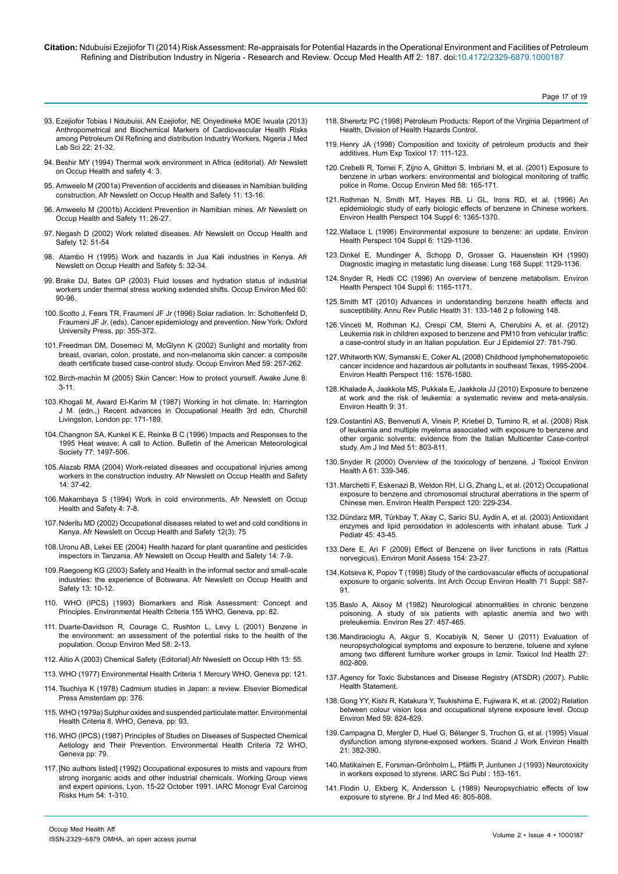Page 17 of 19

- 93. Ezejiofor Tobias I Ndubuisi, AN Ezejiofor, NE Onyedineke MOE Iwuala (2013) Anthropometrical and Biochemical Markers of Cardiovascular Health Risks among Petroleum Oil Refining and distribution Industry Workers, Nigeria J Med Lab Sci 22: 21-32.
- 94. Beshir MY (1994) Thermal work environment in Africa (editorial). Afr Newslett on Occup Health and safety 4: 3.
- 95. Amweelo M (2001a) Prevention of accidents and diseases in Namibian building construction. Afr Newslett on Occup Health and Safety 11: 13-16.
- 96. Amweelo M (2001b) Accident Prevention in Namibian mines. Afr Newslett on Occup Health and Safety 11: 26-27.
- 97. Negash D (2002) Work related diseases. Afr Newslett on Occup Health and Safety 12: 51-54
- 98. Atambo H (1995) Work and hazards in Jua Kali industries in Kenya. Afr Newslett on Occup Health and Safety 5: 32-34.
- 99. [Brake DJ, Bates GP \(2003\) Fluid losses and hydration status of industrial](http://www.ncbi.nlm.nih.gov/pubmed/12554834) [workers under thermal stress working extended shifts. Occup Environ Med 60:](http://www.ncbi.nlm.nih.gov/pubmed/12554834) [90-96.](http://www.ncbi.nlm.nih.gov/pubmed/12554834)
- 100.Scotto J, Fears TR, Fraumeni JF Jr (1996) Solar radiation. In: Schottenfeld D, Fraumeni JF Jr. (eds). Cancer epidemiology and prevention. New York: Oxford University Press, pp: 355-372.
- 101.[Freedman DM, Dosemeci M, McGlynn K \(2002\) Sunlight and mortality from](http://www.ncbi.nlm.nih.gov/pubmed/11934953) [breast, ovarian, colon, prostate, and non-melanoma skin cancer: a composite](http://www.ncbi.nlm.nih.gov/pubmed/11934953) [death certificate based case-control study. Occup Environ Med 59: 257-262.](http://www.ncbi.nlm.nih.gov/pubmed/11934953)
- 102.Birch-machin M (2005) Skin Cancer: How to protect yourself. Awake June 8: 3-11.
- 103.Khogali M, Award El-Karim M (1987) Working in hot climate. In: Harrington J M. (edn.,) Recent advances in Occupational Health 3rd edn, Churchill Livingston, London pp: 171-189.
- 104.Changnon SA, Kunkel K E, Reinke B C (1996) Impacts and Responses to the 1995 Heat weave: A call to Action. Bulletin of the American Meteorological Society 77: 1497-506.
- 105.Alazab RMA (2004) Work-related diseases and occupational injuries among workers in the construction industry. Afr Newslett on Occup Health and Safety 14: 37-42.
- 106.Makambaya S (1994) Work in cold environments. Afr Newslett on Occup Health and Safety 4: 7-8.
- 107.Nderitu MD (2002) Occupational diseases related to wet and cold conditions in Kenya. Afr Newslett on Occup Health and Safety 12(3): 75
- 108.Uronu AB, Lekei EE (2004) Health hazard for plant quarantine and pesticides inspectors in Tanzania. Afr Newslett on Occup Health and Safety 14: 7-9.
- 109.Raegoeng KG (2003) Safety and Health in the informal sector and small-scale industries: the experience of Botswana. Afr Newslett on Occup Health and Safety 13: 10-12.
- 110. WHO (IPCS) (1993) Biomarkers and Risk Assessment: Concept and Principles. Environmental Health Criteria 155 WHO, Geneva, pp: 82.
- 111. [Duarte-Davidson R, Courage C, Rushton L, Levy L \(2001\) Benzene in](http://www.ncbi.nlm.nih.gov/pubmed/11119628) [the environment: an assessment of the potential risks to the health of the](http://www.ncbi.nlm.nih.gov/pubmed/11119628) [population. Occup Environ Med 58: 2-13.](http://www.ncbi.nlm.nih.gov/pubmed/11119628)
- 112.Aitio A (2003) Chemical Safety (Editorial) Afr Nweslett on Occup Hlth 13: 55.
- 113.WHO (1977) Environmental Health Criteria 1 Mercury WHO, Geneva pp: 121.
- 114. Tsuchiya K (1978) Cadmium studies in Japan: a review. Elsevier Biomedical Press Amsterdam pp: 376.
- 115.WHO (1979a) Sulphur oxides and suspended particulate matter. Environmental Health Criteria 8. WHO, Geneva, pp: 93.
- 116.WHO (IPCS) (1987) Principles of Studies on Diseases of Suspected Chemical Aetiology and Their Prevention. Environmental Health Criteria 72 WHO, Geneva pp: 79.
- 117. [\[No authors listed\] \(1992\) Occupational exposures to mists and vapours from](http://www.ncbi.nlm.nih.gov/pubmed/1345371) [strong inorganic acids and other industrial chemicals. Working Group views](http://www.ncbi.nlm.nih.gov/pubmed/1345371) [and expert opinions, Lyon, 15-22 October 1991. IARC Monogr Eval Carcinog](http://www.ncbi.nlm.nih.gov/pubmed/1345371) [Risks Hum 54: 1-310.](http://www.ncbi.nlm.nih.gov/pubmed/1345371)
- 118.Sherertz PC (1998) Petroleum Products: Report of the Virginia Department of Health, Division of Health Hazards Control.
- 119. [Henry JA \(1998\) Composition and toxicity of petroleum products and their](http://www.ncbi.nlm.nih.gov/pubmed/9506262)  [additives. Hum Exp Toxicol 17: 111-123.](http://www.ncbi.nlm.nih.gov/pubmed/9506262)
- 120.[Crebelli R, Tomei F, Zijno A, Ghittori S, Imbriani M, et al. \(2001\) Exposure to](http://www.ncbi.nlm.nih.gov/pubmed/11171929)  [benzene in urban workers: environmental and biological monitoring of traffic](http://www.ncbi.nlm.nih.gov/pubmed/11171929)  [police in Rome. Occup Environ Med 58: 165-171.](http://www.ncbi.nlm.nih.gov/pubmed/11171929)
- 121.[Rothman N, Smith MT, Hayes RB, Li GL, Irons RD, et al. \(1996\) An](http://www.ncbi.nlm.nih.gov/pubmed/9118921)  [epidemiologic study of early biologic effects of benzene in Chinese workers.](http://www.ncbi.nlm.nih.gov/pubmed/9118921)  [Environ Health Perspect 104 Suppl 6: 1365-1370.](http://www.ncbi.nlm.nih.gov/pubmed/9118921)
- 122.[Wallace L \(1996\) Environmental exposure to benzene: an update. Environ](http://www.ncbi.nlm.nih.gov/pubmed/9118882)  [Health Perspect 104 Suppl 6: 1129-1136.](http://www.ncbi.nlm.nih.gov/pubmed/9118882)
- 123.[Dinkel E, Mundinger A, Schopp D, Grosser G, Hauenstein KH \(1990\)](http://www.ncbi.nlm.nih.gov/pubmed/2117114)  [Diagnostic imaging in metastatic lung disease. Lung 168 Suppl: 1129-1136.](http://www.ncbi.nlm.nih.gov/pubmed/2117114)
- 124.[Snyder R, Hedli CC \(1996\) An overview of benzene metabolism. Environ](http://www.ncbi.nlm.nih.gov/pubmed/9118888)  [Health Perspect 104 Suppl 6: 1165-1171.](http://www.ncbi.nlm.nih.gov/pubmed/9118888)
- 125.[Smith MT \(2010\) Advances in understanding benzene health effects and](http://www.ncbi.nlm.nih.gov/pubmed/20070208)  [susceptibility. Annu Rev Public Health 31: 133-148 2 p following 148.](http://www.ncbi.nlm.nih.gov/pubmed/20070208)
- 126.[Vinceti M, Rothman KJ, Crespi CM, Sterni A, Cherubini A, et al. \(2012\)](http://www.ncbi.nlm.nih.gov/pubmed/22892901)  [Leukemia risk in children exposed to benzene and PM10 from vehicular traffic:](http://www.ncbi.nlm.nih.gov/pubmed/22892901)  [a case-control study in an Italian population. Eur J Epidemiol 27: 781-790.](http://www.ncbi.nlm.nih.gov/pubmed/22892901)
- 127.[Whitworth KW, Symanski E, Coker AL \(2008\) Childhood lymphohematopoietic](http://www.ncbi.nlm.nih.gov/pubmed/19057714)  [cancer incidence and hazardous air pollutants in southeast Texas, 1995-2004.](http://www.ncbi.nlm.nih.gov/pubmed/19057714)  [Environ Health Perspect 116: 1576-1580.](http://www.ncbi.nlm.nih.gov/pubmed/19057714)
- 128.[Khalade A, Jaakkola MS, Pukkala E, Jaakkola JJ \(2010\) Exposure to benzene](http://www.ncbi.nlm.nih.gov/pubmed/20584305)  [at work and the risk of leukemia: a systematic review and meta-analysis.](http://www.ncbi.nlm.nih.gov/pubmed/20584305)  [Environ Health 9: 31.](http://www.ncbi.nlm.nih.gov/pubmed/20584305)
- 129.[Costantini AS, Benvenuti A, Vineis P, Kriebel D, Tumino R, et al. \(2008\) Risk](http://www.ncbi.nlm.nih.gov/pubmed/18651579)  [of leukemia and multiple myeloma associated with exposure to benzene and](http://www.ncbi.nlm.nih.gov/pubmed/18651579)  [other organic solvents: evidence from the Italian Multicenter Case-control](http://www.ncbi.nlm.nih.gov/pubmed/18651579)  [study. Am J Ind Med 51: 803-811.](http://www.ncbi.nlm.nih.gov/pubmed/18651579)
- 130.[Snyder R \(2000\) Overview of the toxicology of benzene. J Toxicol Environ](http://www.ncbi.nlm.nih.gov/pubmed/11086937)  [Health A 61: 339-346.](http://www.ncbi.nlm.nih.gov/pubmed/11086937)
- 131.[Marchetti F, Eskenazi B, Weldon RH, Li G, Zhang L, et al. \(2012\) Occupational](http://www.ncbi.nlm.nih.gov/pubmed/22086566)  [exposure to benzene and chromosomal structural aberrations in the sperm of](http://www.ncbi.nlm.nih.gov/pubmed/22086566)  [Chinese men. Environ Health Perspect 120: 229-234.](http://www.ncbi.nlm.nih.gov/pubmed/22086566)
- 132.[Dündarz MR, Türkbay T, Akay C, Sarici SU, Aydin A, et al. \(2003\) Antioxidant](http://www.ncbi.nlm.nih.gov/pubmed/12718371)  [enzymes and lipid peroxidation in adolescents with inhalant abuse. Turk J](http://www.ncbi.nlm.nih.gov/pubmed/12718371)  [Pediatr 45: 43-45.](http://www.ncbi.nlm.nih.gov/pubmed/12718371)
- 133.[Dere E, Ari F \(2009\) Effect of Benzene on liver functions in rats \(Rattus](http://www.ncbi.nlm.nih.gov/pubmed/18566902)  [norvegicus\). Environ Monit Assess 154: 23-27.](http://www.ncbi.nlm.nih.gov/pubmed/18566902)
- 134.[Kotseva K, Popov T \(1998\) Study of the cardiovascular effects of occupational](http://www.ncbi.nlm.nih.gov/pubmed/9827890)  [exposure to organic solvents. Int Arch Occup Environ Health 71 Suppl: S87-](http://www.ncbi.nlm.nih.gov/pubmed/9827890) [91.](http://www.ncbi.nlm.nih.gov/pubmed/9827890)
- 135.[Baslo A, Aksoy M \(1982\) Neurological abnormalities in chronic benzene](http://www.ncbi.nlm.nih.gov/pubmed/7084168)  [poisoning. A study of six patients with aplastic anemia and two with](http://www.ncbi.nlm.nih.gov/pubmed/7084168)  [preleukemia. Environ Res 27: 457-465.](http://www.ncbi.nlm.nih.gov/pubmed/7084168)
- 136.[Mandiracioglu A, Akgur S, Kocabiyik N, Sener U \(2011\) Evaluation of](http://www.ncbi.nlm.nih.gov/pubmed/21421681)  [neuropsychological symptoms and exposure to benzene, toluene and xylene](http://www.ncbi.nlm.nih.gov/pubmed/21421681)  [among two different furniture worker groups in Izmir. Toxicol Ind Health 27:](http://www.ncbi.nlm.nih.gov/pubmed/21421681)  [802-809.](http://www.ncbi.nlm.nih.gov/pubmed/21421681)
- 137.Agency for Toxic Substances and Disease Registry (ATSDR) (2007). Public Health Statement.
- 138.[Gong YY, Kishi R, Katakura Y, Tsukishima E, Fujiwara K, et al. \(2002\) Relation](http://www.ncbi.nlm.nih.gov/pubmed/12468749)  [between colour vision loss and occupational styrene exposure level. Occup](http://www.ncbi.nlm.nih.gov/pubmed/12468749)  [Environ Med 59: 824-829.](http://www.ncbi.nlm.nih.gov/pubmed/12468749)
- 139.[Campagna D, Mergler D, Huel G, Bélanger S, Truchon G, et al. \(1995\) Visual](http://www.ncbi.nlm.nih.gov/pubmed/8571095)  [dysfunction among styrene-exposed workers. Scand J Work Environ Health](http://www.ncbi.nlm.nih.gov/pubmed/8571095)  [21: 382-390.](http://www.ncbi.nlm.nih.gov/pubmed/8571095)
- 140.[Matikainen E, Forsman-Grönholm L, Pfäffli P, Juntunen J \(1993\) Neurotoxicity](http://www.ncbi.nlm.nih.gov/pubmed/8070862)  [in workers exposed to styrene. IARC Sci Publ : 153-161.](http://www.ncbi.nlm.nih.gov/pubmed/8070862)
- 141.[Flodin U, Ekberg K, Andersson L \(1989\) Neuropsychiatric effects of low](http://www.ncbi.nlm.nih.gov/pubmed/2590646)  [exposure to styrene. Br J Ind Med 46: 805-808.](http://www.ncbi.nlm.nih.gov/pubmed/2590646)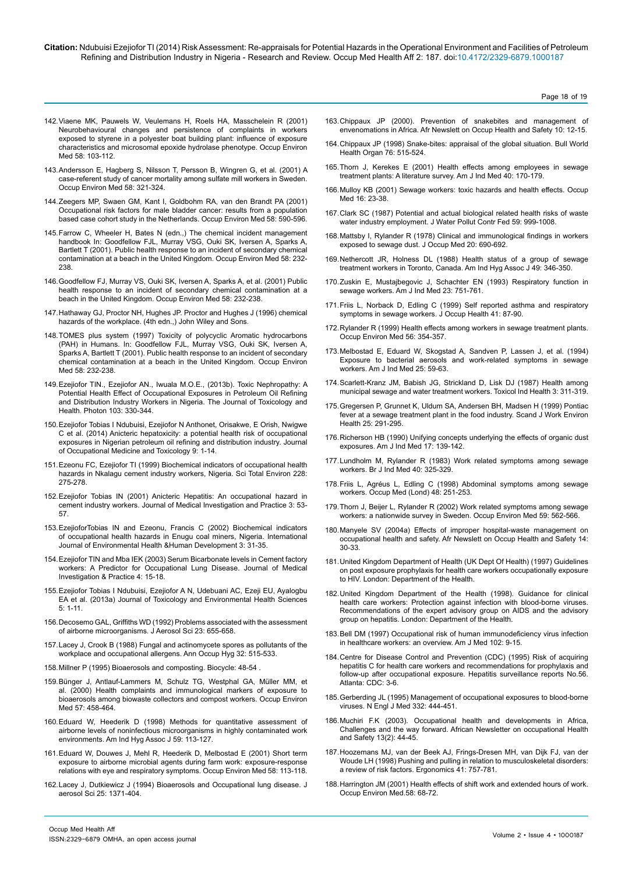Page 18 of 19

- 142.Viaene MK, Pauwels W, Veulemans H, Roels HA, Masschelein R (2001) Neurobehavioural changes and persistence of complaints in workers exposed to styrene in a polyester boat building plant: influence of exposure characteristics and microsomal epoxide hydrolase phenotype. Occup Environ Med 58: 103-112.
- 143.[Andersson E, Hagberg S, Nilsson T, Persson B, Wingren G, et al. \(2001\) A](http://www.ncbi.nlm.nih.gov/pubmed/11303081) [case-referent study of cancer mortality among sulfate mill workers in Sweden.](http://www.ncbi.nlm.nih.gov/pubmed/11303081) [Occup Environ Med 58: 321-324.](http://www.ncbi.nlm.nih.gov/pubmed/11303081)
- 144.[Zeegers MP, Swaen GM, Kant I, Goldbohm RA, van den Brandt PA \(2001\)](http://www.ncbi.nlm.nih.gov/pubmed/11511746) [Occupational risk factors for male bladder cancer: results from a population](http://www.ncbi.nlm.nih.gov/pubmed/11511746) [based case cohort study in the Netherlands. Occup Environ Med 58: 590-596.](http://www.ncbi.nlm.nih.gov/pubmed/11511746)
- 145.Farrow C, Wheeler H, Bates N (edn.,) The chemical incident management handbook In: Goodfellow FJL, Murray VSG, Ouki SK, Iversen A, Sparks A, Bartlett T (2001). Public health response to an incident of secondary chemical contamination at a beach in the United Kingdom. Occup Environ Med 58: 232- 238.
- 146.[Goodfellow FJ, Murray VS, Ouki SK, Iversen A, Sparks A, et al. \(2001\) Public](http://www.ncbi.nlm.nih.gov/pubmed/11245739) [health response to an incident of secondary chemical contamination at a](http://www.ncbi.nlm.nih.gov/pubmed/11245739) [beach in the United Kingdom. Occup Environ Med 58: 232-238.](http://www.ncbi.nlm.nih.gov/pubmed/11245739)
- 147.Hathaway GJ, Proctor NH, Hughes JP. Proctor and Hughes J (1996) chemical hazards of the workplace. (4th edn.,) John Wiley and Sons.
- 148.TOMES plus system (1997) Toxicity of polycyclic Aromatic hydrocarbons (PAH) in Humans. In: Goodfellow FJL, Murray VSG, Ouki SK, Iversen A, Sparks A, Bartlett T (2001). Public health response to an incident of secondary chemical contamination at a beach in the United Kingdom. Occup Environ Med 58: 232-238.
- 149.Ezejiofor TIN., Ezejiofor AN., Iwuala M.O.E., (2013b). Toxic Nephropathy: A Potential Health Effect of Occupational Exposures in Petroleum Oil Refining and Distribution Industry Workers in Nigeria. The Journal of Toxicology and Health. Photon 103: 330-344.
- 150.Ezejiofor Tobias I Ndubuisi, Ezejiofor N Anthonet, Orisakwe, E Orish, Nwigwe C et al. (2014) Anicteric hepatoxicity: a potential health risk of occupational exposures in Nigerian petroleum oil refining and distribution industry. Journal of Occupational Medicine and Toxicology 9: 1-14.
- 151.[Ezeonu FC, Ezejiofor TI \(1999\) Biochemical indicators of occupational health](http://www.ncbi.nlm.nih.gov/pubmed/10371057) [hazards in Nkalagu cement industry workers, Nigeria. Sci Total Environ 228:](http://www.ncbi.nlm.nih.gov/pubmed/10371057) [275-278.](http://www.ncbi.nlm.nih.gov/pubmed/10371057)
- 152.Ezejiofor Tobias IN (2001) Anicteric Hepatitis: An occupational hazard in cement industry workers. Journal of Medical Investigation and Practice 3: 53- 57.
- 153.EzejioforTobias IN and Ezeonu, Francis C (2002) Biochemical indicators of occupational health hazards in Enugu coal miners, Nigeria. International Journal of Environmental Health &Human Development 3: 31-35.
- 154.Ezejiofor TIN and Mba IEK (2003) Serum Bicarbonate levels in Cement factory workers: A Predictor for Occupational Lung Disease. Journal of Medical Investigation & Practice 4: 15-18.
- 155.Ezejiofor Tobias I Ndubuisi, Ezejiofor A N, Udebuani AC, Ezeji EU, Ayalogbu EA et al. (2013a) Journal of Toxicology and Environmental Health Sciences 5: 1-11.
- 156.Decosemo GAL, Griffiths WD (1992) Problems associated with the assessment of airborne microorganisms. J Aerosol Sci 23: 655-658.
- 157.[Lacey J, Crook B \(1988\) Fungal and actinomycete spores as pollutants of the](http://www.ncbi.nlm.nih.gov/pubmed/3067644) [workplace and occupational allergens. Ann Occup Hyg 32: 515-533.](http://www.ncbi.nlm.nih.gov/pubmed/3067644)
- 158.Millner P (1995) Bioaerosols and composting. Biocycle: 48-54 .
- 159.[Bünger J, Antlauf-Lammers M, Schulz TG, Westphal GA, Müller MM, et](http://www.ncbi.nlm.nih.gov/pubmed/10854498) [al. \(2000\) Health complaints and immunological markers of exposure to](http://www.ncbi.nlm.nih.gov/pubmed/10854498) [bioaerosols among biowaste collectors and compost workers. Occup Environ](http://www.ncbi.nlm.nih.gov/pubmed/10854498) [Med 57: 458-464.](http://www.ncbi.nlm.nih.gov/pubmed/10854498)
- 160.[Eduard W, Heederik D \(1998\) Methods for quantitative assessment of](http://www.ncbi.nlm.nih.gov/pubmed/9487665) [airborne levels of noninfectious microorganisms in highly contaminated work](http://www.ncbi.nlm.nih.gov/pubmed/9487665) [environments. Am Ind Hyg Assoc J 59: 113-127.](http://www.ncbi.nlm.nih.gov/pubmed/9487665)
- 161.[Eduard W, Douwes J, Mehl R, Heederik D, Melbostad E \(2001\) Short term](http://www.ncbi.nlm.nih.gov/pubmed/11160989) [exposure to airborne microbial agents during farm work: exposure-response](http://www.ncbi.nlm.nih.gov/pubmed/11160989) [relations with eye and respiratory symptoms. Occup Environ Med 58: 113-118.](http://www.ncbi.nlm.nih.gov/pubmed/11160989)
- 162.Lacey J, Dutkiewicz J (1994) Bioaerosols and Occupational lung disease. J aerosol Sci 25: 1371-404.
- 163.Chippaux JP (2000). Prevention of snakebites and management of envenomations in Africa. Afr Newslett on Occup Health and Safety 10: 12-15.
- 164.[Chippaux JP \(1998\) Snake-bites: appraisal of the global situation. Bull World](http://www.ncbi.nlm.nih.gov/pubmed/9868843)  [Health Organ 76: 515-524.](http://www.ncbi.nlm.nih.gov/pubmed/9868843)
- 165.[Thorn J, Kerekes E \(2001\) Health effects among employees in sewage](http://www.ncbi.nlm.nih.gov/pubmed/11494345)  [treatment plants: A literature survey. Am J Ind Med 40: 170-179.](http://www.ncbi.nlm.nih.gov/pubmed/11494345)
- 166.[Mulloy KB \(2001\) Sewage workers: toxic hazards and health effects. Occup](http://www.ncbi.nlm.nih.gov/pubmed/11107222)  [Med 16: 23-38.](http://www.ncbi.nlm.nih.gov/pubmed/11107222)
- 167.Clark SC (1987) Potential and actual biological related health risks of waste water industry employment. J Water Pollut Contr Fed 59: 999-1008.
- 168.[Mattsby I, Rylander R \(1978\) Clinical and immunological findings in workers](http://www.ncbi.nlm.nih.gov/pubmed/722356)  [exposed to sewage dust. J Occup Med 20: 690-692.](http://www.ncbi.nlm.nih.gov/pubmed/722356)
- 169.[Nethercott JR, Holness DL \(1988\) Health status of a group of sewage](http://www.ncbi.nlm.nih.gov/pubmed/3136628)  [treatment workers in Toronto, Canada. Am Ind Hyg Assoc J 49: 346-350.](http://www.ncbi.nlm.nih.gov/pubmed/3136628)
- 170.[Zuskin E, Mustajbegovic J, Schachter EN \(1993\) Respiratory function in](http://www.ncbi.nlm.nih.gov/pubmed/8506853)  [sewage workers. Am J Ind Med 23: 751-761.](http://www.ncbi.nlm.nih.gov/pubmed/8506853)
- 171.Friis L, Norback D, Edling C (1999) Self reported asthma and respiratory symptoms in sewage workers. J Occup Health 41: 87-90.
- 172.[Rylander R \(1999\) Health effects among workers in sewage treatment plants.](http://www.ncbi.nlm.nih.gov/pubmed/10472311)  [Occup Environ Med 56: 354-357.](http://www.ncbi.nlm.nih.gov/pubmed/10472311)
- 173.[Melbostad E, Eduard W, Skogstad A, Sandven P, Lassen J, et al. \(1994\)](http://www.ncbi.nlm.nih.gov/pubmed/8116655)  [Exposure to bacterial aerosols and work-related symptoms in sewage](http://www.ncbi.nlm.nih.gov/pubmed/8116655)  [workers. Am J Ind Med 25: 59-63.](http://www.ncbi.nlm.nih.gov/pubmed/8116655)
- 174.[Scarlett-Kranz JM, Babish JG, Strickland D, Lisk DJ \(1987\) Health among](http://www.ncbi.nlm.nih.gov/pubmed/3686535)  [municipal sewage and water treatment workers. Toxicol Ind Health 3: 311-319.](http://www.ncbi.nlm.nih.gov/pubmed/3686535)
- 175.[Gregersen P, Grunnet K, Uldum SA, Andersen BH, Madsen H \(1999\) Pontiac](http://www.ncbi.nlm.nih.gov/pubmed/10450782)  [fever at a sewage treatment plant in the food industry. Scand J Work Environ](http://www.ncbi.nlm.nih.gov/pubmed/10450782)  [Health 25: 291-295.](http://www.ncbi.nlm.nih.gov/pubmed/10450782)
- 176.[Richerson HB \(1990\) Unifying concepts underlying the effects of organic dust](http://www.ncbi.nlm.nih.gov/pubmed/2305785)  [exposures. Am J Ind Med 17: 139-142.](http://www.ncbi.nlm.nih.gov/pubmed/2305785)
- 177.[Lundholm M, Rylander R \(1983\) Work related symptoms among sewage](http://www.ncbi.nlm.nih.gov/pubmed/6871122)  [workers. Br J Ind Med 40: 325-329.](http://www.ncbi.nlm.nih.gov/pubmed/6871122)
- 178.[Friis L, Agréus L, Edling C \(1998\) Abdominal symptoms among sewage](http://www.ncbi.nlm.nih.gov/pubmed/9800423)  [workers. Occup Med \(Lond\) 48: 251-253.](http://www.ncbi.nlm.nih.gov/pubmed/9800423)
- 179.[Thorn J, Beijer L, Rylander R \(2002\) Work related symptoms among sewage](http://www.ncbi.nlm.nih.gov/pubmed/12151615)  [workers: a nationwide survey in Sweden. Occup Environ Med 59: 562-566.](http://www.ncbi.nlm.nih.gov/pubmed/12151615)
- 180.Manyele SV (2004a) Effects of improper hospital-waste management on occupational health and safety. Afr Newslett on Occup Health and Safety 14: 30-33.
- 181.United Kingdom Department of Health (UK Dept Of Health) (1997) Guidelines on post exposure prophylaxis for health care workers occupationally exposure to HIV. London: Department of the Health.
- 182.United Kingdom Department of the Health (1998). Guidance for clinical health care workers: Protection against infection with blood-borne viruses. Recommendations of the expert advisory group on AIDS and the advisory group on hepatitis. London: Department of the Health.
- 183.[Bell DM \(1997\) Occupational risk of human immunodeficiency virus infection](http://www.ncbi.nlm.nih.gov/pubmed/9845490)  [in healthcare workers: an overview. Am J Med 102: 9-15.](http://www.ncbi.nlm.nih.gov/pubmed/9845490)
- 184.Centre for Disease Control and Prevention (CDC) (1995) Risk of acquiring hepatitis C for health care workers and recommendations for prophylaxis and follow-up after occupational exposure. Hepatitis surveillance reports No.56. Atlanta: CDC: 3-6.
- 185.[Gerberding JL \(1995\) Management of occupational exposures to blood-borne](http://www.ncbi.nlm.nih.gov/pubmed/7824017)  [viruses. N Engl J Med 332: 444-451.](http://www.ncbi.nlm.nih.gov/pubmed/7824017)
- 186.Muchiri F.K (2003). Occupational health and developments in Africa, Challenges and the way forward. African Newsletter on occupational Health and Safety 13(2): 44-45.
- 187.[Hoozemans MJ, van der Beek AJ, Frings-Dresen MH, van Dijk FJ, van der](http://www.ncbi.nlm.nih.gov/pubmed/9629062)  [Woude LH \(1998\) Pushing and pulling in relation to musculoskeletal disorders:](http://www.ncbi.nlm.nih.gov/pubmed/9629062)  [a review of risk factors. Ergonomics 41: 757-781.](http://www.ncbi.nlm.nih.gov/pubmed/9629062)
- 188.Harrington JM (2001) Health effects of shift work and extended hours of work. Occup Environ Med.58: 68-72.